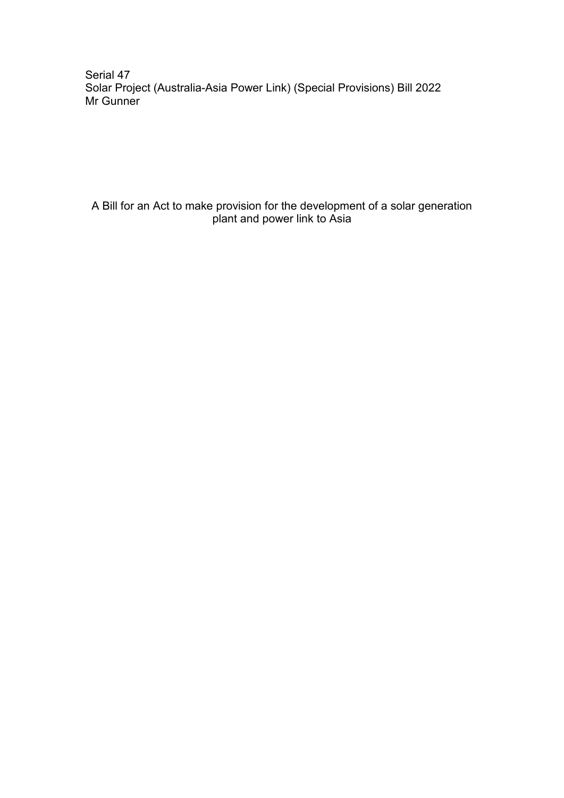Serial 47 Solar Project (Australia-Asia Power Link) (Special Provisions) Bill 2022 Mr Gunner

A Bill for an Act to make provision for the development of a solar generation plant and power link to Asia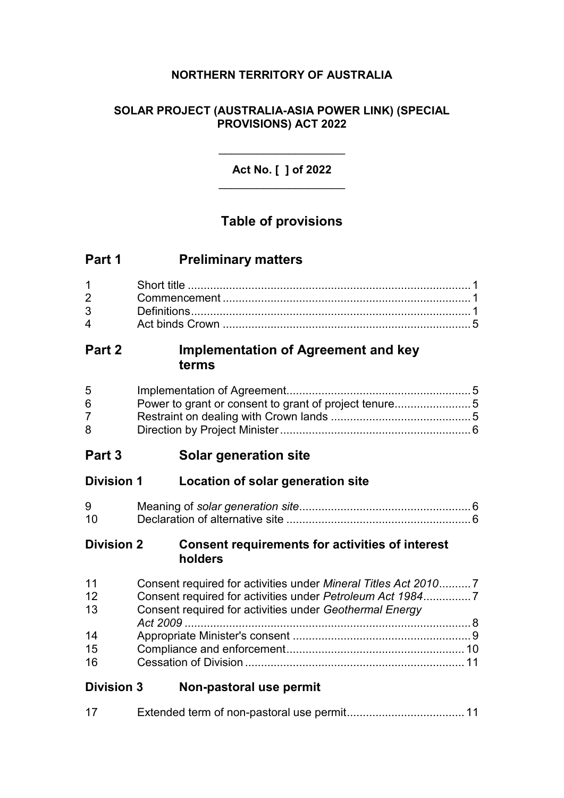# **NORTHERN TERRITORY OF AUSTRALIA**

# **SOLAR PROJECT (AUSTRALIA-ASIA POWER LINK) (SPECIAL PROVISIONS) ACT 2022**

**Act No. [ ] of 2022** \_\_\_\_\_\_\_\_\_\_\_\_\_\_\_\_\_\_\_\_

\_\_\_\_\_\_\_\_\_\_\_\_\_\_\_\_\_\_\_\_

# **Table of provisions**

| Part 1 | <b>Preliminary matters</b> |
|--------|----------------------------|
|--------|----------------------------|

| $\mathbf{\Delta}$ |  |
|-------------------|--|

# **Part 2 Implementation of Agreement and key terms**

| 5 <sup>5</sup> |  |
|----------------|--|
| 6              |  |
| <u>7</u>       |  |
| 8              |  |

# **Part 3 Solar generation site**

# **Division 1 Location of solar generation site**

| 9  |  |
|----|--|
| 10 |  |

#### **Division 2 Consent requirements for activities of interest holders**

| 11 | Consent required for activities under Mineral Titles Act 20107 |  |
|----|----------------------------------------------------------------|--|
| 12 |                                                                |  |
| 13 | Consent required for activities under Geothermal Energy        |  |
|    |                                                                |  |
| 14 |                                                                |  |
| 15 |                                                                |  |
| 16 |                                                                |  |

# **Division 3 Non-pastoral use permit**

| 17 |  |  |  |
|----|--|--|--|
|----|--|--|--|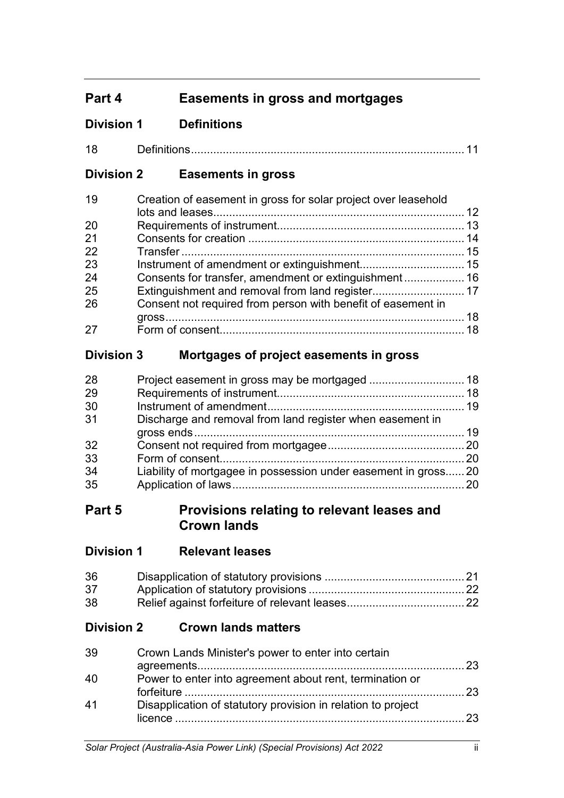# **Part 4 Easements in gross and mortgages**

# **Division 1 Definitions**

| A 0 |  |  |  |
|-----|--|--|--|
|-----|--|--|--|

# **Division 2 Easements in gross**

| 19 | Creation of easement in gross for solar project over leasehold |  |
|----|----------------------------------------------------------------|--|
|    |                                                                |  |
| 20 |                                                                |  |
| 21 |                                                                |  |
| 22 |                                                                |  |
| 23 |                                                                |  |
| 24 | Consents for transfer, amendment or extinguishment 16          |  |
| 25 |                                                                |  |
| 26 | Consent not required from person with benefit of easement in   |  |
|    |                                                                |  |
| 27 |                                                                |  |

# **Division 3 Mortgages of project easements in gross**

| Discharge and removal from land register when easement in       |  |
|-----------------------------------------------------------------|--|
|                                                                 |  |
|                                                                 |  |
|                                                                 |  |
| Liability of mortgagee in possession under easement in gross 20 |  |
|                                                                 |  |
|                                                                 |  |

# **Part 5 Provisions relating to relevant leases and Crown lands**

| <b>Division 1</b> | <b>Relevant leases</b> |  |
|-------------------|------------------------|--|
|                   |                        |  |

| 36 |  |
|----|--|
| 37 |  |
| 38 |  |

# **Division 2 Crown lands matters**

| 39 | Crown Lands Minister's power to enter into certain           | 23              |
|----|--------------------------------------------------------------|-----------------|
| 40 | Power to enter into agreement about rent, termination or     | $\overline{23}$ |
| 41 | Disapplication of statutory provision in relation to project | 23              |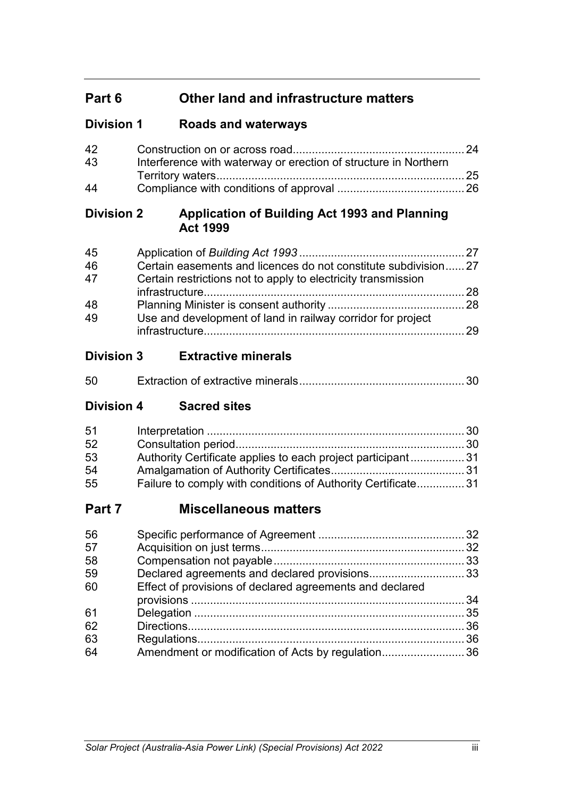# **Part 6 Other land and infrastructure matters**

# **Division 1 Roads and waterways**

| 42 |                                                                 |  |
|----|-----------------------------------------------------------------|--|
| 43 | Interference with waterway or erection of structure in Northern |  |
|    |                                                                 |  |
| 44 |                                                                 |  |

# **Division 2 Application of Building Act 1993 and Planning Act 1999**

| Certain restrictions not to apply to electricity transmission |                                                                |
|---------------------------------------------------------------|----------------------------------------------------------------|
|                                                               |                                                                |
|                                                               |                                                                |
| Use and development of land in railway corridor for project   |                                                                |
|                                                               | - 29                                                           |
|                                                               | Certain easements and licences do not constitute subdivision27 |

# **Division 3 Extractive minerals**

| 50 |  |
|----|--|
|    |  |

# **Division 4 Sacred sites**

| 51 |                                                              |  |
|----|--------------------------------------------------------------|--|
| 52 |                                                              |  |
| 53 | Authority Certificate applies to each project participant31  |  |
| 54 |                                                              |  |
| 55 | Failure to comply with conditions of Authority Certificate31 |  |

# **Part 7 Miscellaneous matters**

| 56 |                                                          |  |
|----|----------------------------------------------------------|--|
| 57 |                                                          |  |
| 58 |                                                          |  |
| 59 |                                                          |  |
| 60 | Effect of provisions of declared agreements and declared |  |
|    |                                                          |  |
| 61 |                                                          |  |
| 62 |                                                          |  |
| 63 |                                                          |  |
| 64 | Amendment or modification of Acts by regulation36        |  |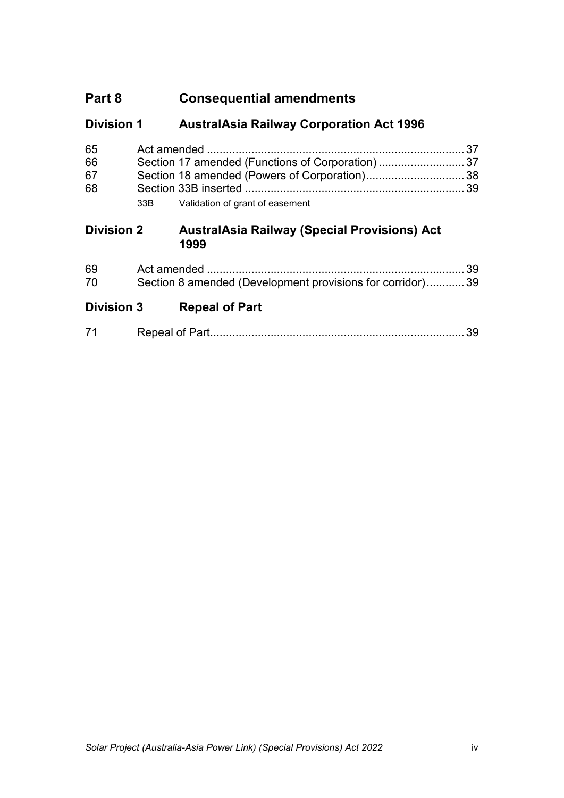# **Part 8 Consequential amendments**

# **Division 1 AustralAsia Railway Corporation Act 1996**

| 65<br>66<br>67<br>68 |     |                                                             | 37<br>37<br>38 |
|----------------------|-----|-------------------------------------------------------------|----------------|
|                      | 33B | Validation of grant of easement                             |                |
| <b>Division 2</b>    |     | <b>AustralAsia Railway (Special Provisions) Act</b><br>1999 |                |
| 69<br>70             |     | Section 8 amended (Development provisions for corridor) 39  | 39             |
| <b>Division 3</b>    |     | <b>Repeal of Part</b>                                       |                |

|--|--|--|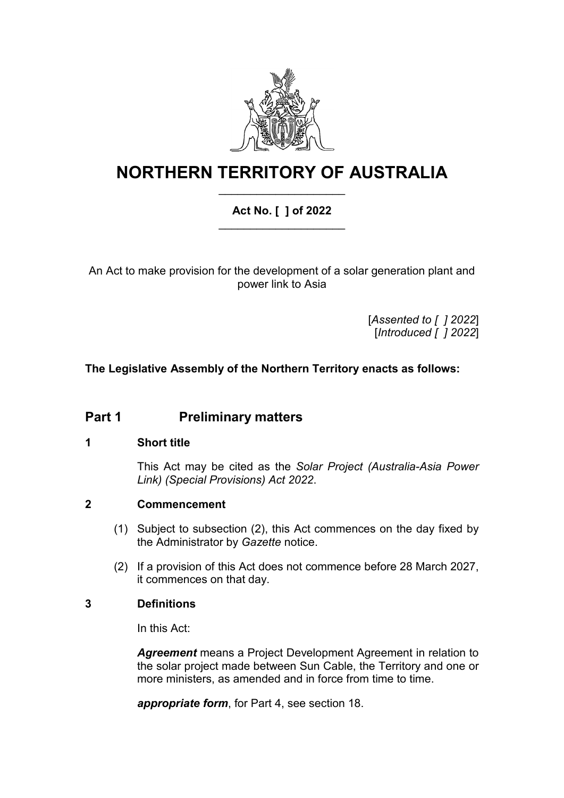

# **NORTHERN TERRITORY OF AUSTRALIA** \_\_\_\_\_\_\_\_\_\_\_\_\_\_\_\_\_\_\_\_

# **Act No. [ ] of 2022** \_\_\_\_\_\_\_\_\_\_\_\_\_\_\_\_\_\_\_\_

An Act to make provision for the development of a solar generation plant and power link to Asia

> [*Assented to [ ] 2022*] [*Introduced [ ] 2022*]

# **The Legislative Assembly of the Northern Territory enacts as follows:**

# **Part 1 Preliminary matters**

# **1 Short title**

This Act may be cited as the *Solar Project (Australia-Asia Power Link) (Special Provisions) Act 2022*.

#### **2 Commencement**

- (1) Subject to subsection (2), this Act commences on the day fixed by the Administrator by *Gazette* notice.
- (2) If a provision of this Act does not commence before 28 March 2027, it commences on that day.

#### **3 Definitions**

In this Act:

*Agreement* means a Project Development Agreement in relation to the solar project made between Sun Cable, the Territory and one or more ministers, as amended and in force from time to time.

*appropriate form*, for Part 4, see section 18.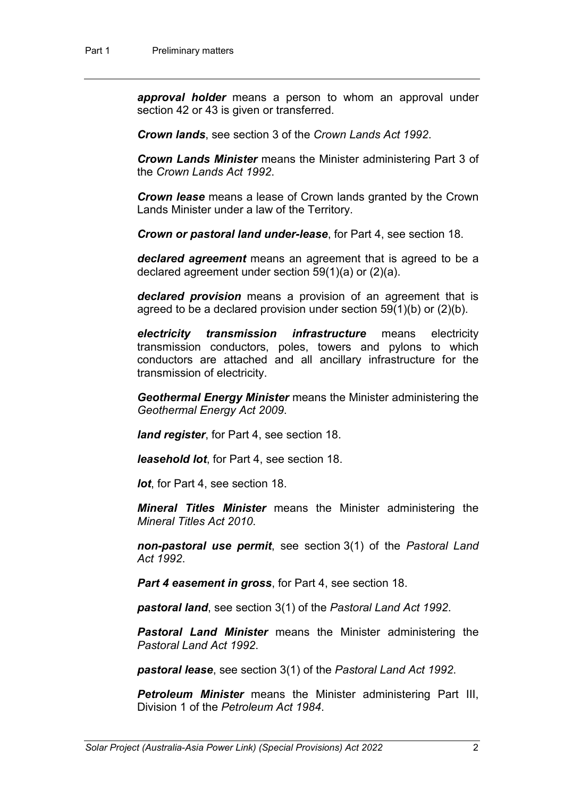*approval holder* means a person to whom an approval under section 42 or 43 is given or transferred.

*Crown lands*, see section 3 of the *Crown Lands Act 1992*.

*Crown Lands Minister* means the Minister administering Part 3 of the *Crown Lands Act 1992*.

*Crown lease* means a lease of Crown lands granted by the Crown Lands Minister under a law of the Territory.

*Crown or pastoral land under-lease*, for Part 4, see section 18.

*declared agreement* means an agreement that is agreed to be a declared agreement under section 59(1)(a) or (2)(a).

*declared provision* means a provision of an agreement that is agreed to be a declared provision under section 59(1)(b) or (2)(b).

*electricity transmission infrastructure* means electricity transmission conductors, poles, towers and pylons to which conductors are attached and all ancillary infrastructure for the transmission of electricity.

*Geothermal Energy Minister* means the Minister administering the *Geothermal Energy Act 2009*.

*land register*, for Part 4, see section 18.

*leasehold lot*, for Part 4, see section 18.

*lot*, for Part 4, see section 18.

*Mineral Titles Minister* means the Minister administering the *Mineral Titles Act 2010*.

*non-pastoral use permit*, see section 3(1) of the *Pastoral Land Act 1992*.

*Part 4 easement in gross*, for Part 4, see section 18.

*pastoral land*, see section 3(1) of the *Pastoral Land Act 1992*.

*Pastoral Land Minister* means the Minister administering the *Pastoral Land Act 1992*.

*pastoral lease*, see section 3(1) of the *Pastoral Land Act 1992*.

*Petroleum Minister* means the Minister administering Part III, Division 1 of the *Petroleum Act 1984*.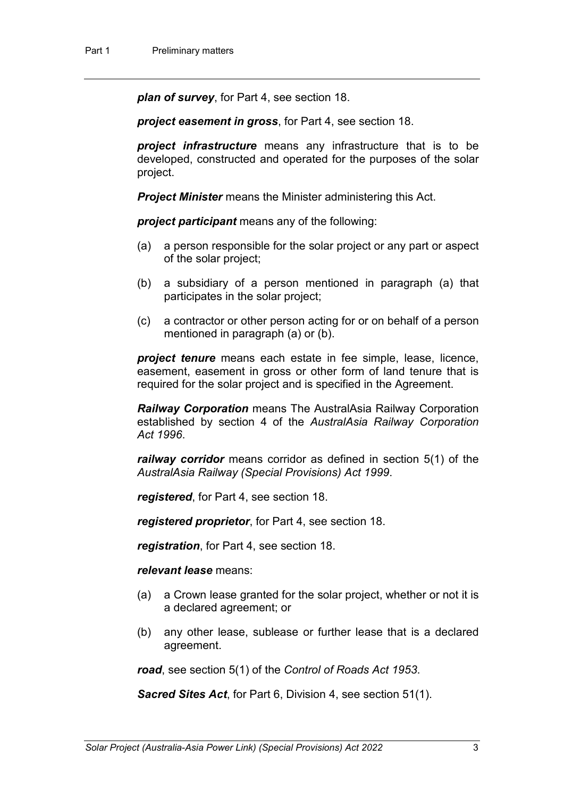*plan of survey*, for Part 4, see section 18.

*project easement in gross*, for Part 4, see section 18.

*project infrastructure* means any infrastructure that is to be developed, constructed and operated for the purposes of the solar project.

*Project Minister* means the Minister administering this Act.

*project participant* means any of the following:

- (a) a person responsible for the solar project or any part or aspect of the solar project;
- (b) a subsidiary of a person mentioned in paragraph (a) that participates in the solar project;
- (c) a contractor or other person acting for or on behalf of a person mentioned in paragraph (a) or (b).

*project tenure* means each estate in fee simple, lease, licence, easement, easement in gross or other form of land tenure that is required for the solar project and is specified in the Agreement.

*Railway Corporation* means The AustralAsia Railway Corporation established by section 4 of the *AustralAsia Railway Corporation Act 1996*.

*railway corridor* means corridor as defined in section 5(1) of the *AustralAsia Railway (Special Provisions) Act 1999*.

*registered*, for Part 4, see section 18.

*registered proprietor*, for Part 4, see section 18.

*registration*, for Part 4, see section 18.

*relevant lease* means:

- (a) a Crown lease granted for the solar project, whether or not it is a declared agreement; or
- (b) any other lease, sublease or further lease that is a declared agreement.

*road*, see section 5(1) of the *Control of Roads Act 1953*.

*Sacred Sites Act*, for Part 6, Division 4, see section 51(1).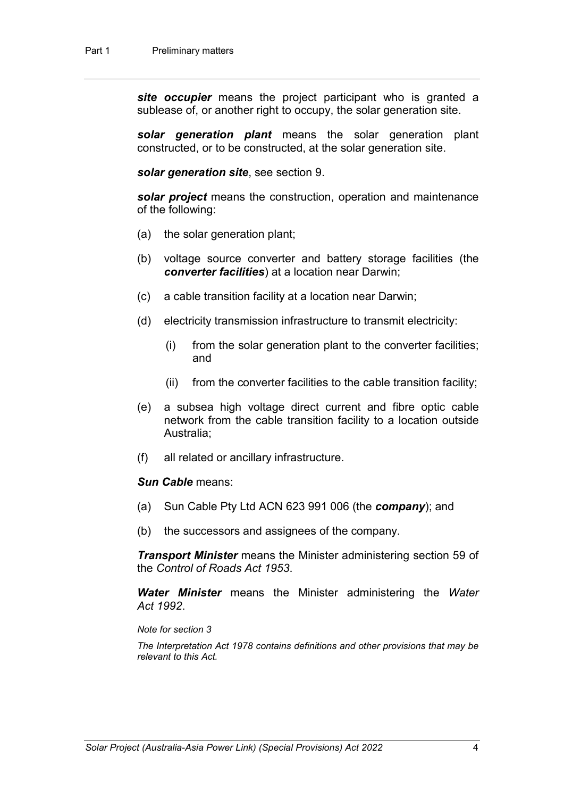*site occupier* means the project participant who is granted a sublease of, or another right to occupy, the solar generation site.

*solar generation plant* means the solar generation plant constructed, or to be constructed, at the solar generation site.

*solar generation site*, see section 9.

*solar project* means the construction, operation and maintenance of the following:

- (a) the solar generation plant;
- (b) voltage source converter and battery storage facilities (the *converter facilities*) at a location near Darwin;
- (c) a cable transition facility at a location near Darwin;
- (d) electricity transmission infrastructure to transmit electricity:
	- (i) from the solar generation plant to the converter facilities; and
	- (ii) from the converter facilities to the cable transition facility;
- (e) a subsea high voltage direct current and fibre optic cable network from the cable transition facility to a location outside Australia;
- (f) all related or ancillary infrastructure.

#### *Sun Cable* means:

- (a) Sun Cable Pty Ltd ACN 623 991 006 (the *company*); and
- (b) the successors and assignees of the company.

*Transport Minister* means the Minister administering section 59 of the *Control of Roads Act 1953*.

*Water Minister* means the Minister administering the *Water Act 1992*.

#### *Note for section 3*

*The Interpretation Act 1978 contains definitions and other provisions that may be relevant to this Act.*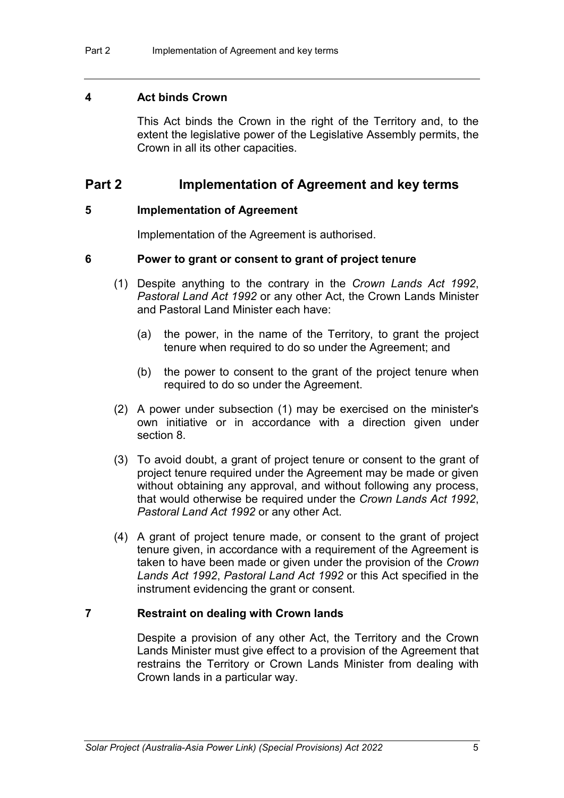#### **4 Act binds Crown**

This Act binds the Crown in the right of the Territory and, to the extent the legislative power of the Legislative Assembly permits, the Crown in all its other capacities.

# **Part 2 Implementation of Agreement and key terms**

#### **5 Implementation of Agreement**

Implementation of the Agreement is authorised.

#### **6 Power to grant or consent to grant of project tenure**

- (1) Despite anything to the contrary in the *Crown Lands Act 1992*, *Pastoral Land Act 1992* or any other Act, the Crown Lands Minister and Pastoral Land Minister each have:
	- (a) the power, in the name of the Territory, to grant the project tenure when required to do so under the Agreement; and
	- (b) the power to consent to the grant of the project tenure when required to do so under the Agreement.
- (2) A power under subsection (1) may be exercised on the minister's own initiative or in accordance with a direction given under section 8.
- (3) To avoid doubt, a grant of project tenure or consent to the grant of project tenure required under the Agreement may be made or given without obtaining any approval, and without following any process, that would otherwise be required under the *Crown Lands Act 1992*, *Pastoral Land Act 1992* or any other Act.
- (4) A grant of project tenure made, or consent to the grant of project tenure given, in accordance with a requirement of the Agreement is taken to have been made or given under the provision of the *Crown Lands Act 1992*, *Pastoral Land Act 1992* or this Act specified in the instrument evidencing the grant or consent.

#### **7 Restraint on dealing with Crown lands**

Despite a provision of any other Act, the Territory and the Crown Lands Minister must give effect to a provision of the Agreement that restrains the Territory or Crown Lands Minister from dealing with Crown lands in a particular way.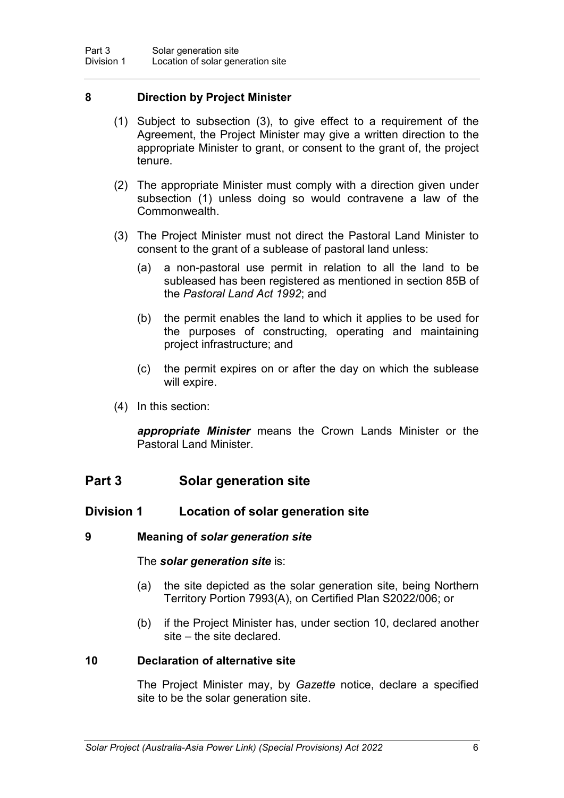### **8 Direction by Project Minister**

- (1) Subject to subsection (3), to give effect to a requirement of the Agreement, the Project Minister may give a written direction to the appropriate Minister to grant, or consent to the grant of, the project tenure.
- (2) The appropriate Minister must comply with a direction given under subsection (1) unless doing so would contravene a law of the Commonwealth.
- (3) The Project Minister must not direct the Pastoral Land Minister to consent to the grant of a sublease of pastoral land unless:
	- (a) a non-pastoral use permit in relation to all the land to be subleased has been registered as mentioned in section 85B of the *Pastoral Land Act 1992*; and
	- (b) the permit enables the land to which it applies to be used for the purposes of constructing, operating and maintaining project infrastructure; and
	- (c) the permit expires on or after the day on which the sublease will expire.
- (4) In this section:

*appropriate Minister* means the Crown Lands Minister or the Pastoral Land Minister.

# **Part 3 Solar generation site**

# **Division 1 Location of solar generation site**

#### **9 Meaning of** *solar generation site*

#### The *solar generation site* is:

- (a) the site depicted as the solar generation site, being Northern Territory Portion 7993(A), on Certified Plan S2022/006; or
- (b) if the Project Minister has, under section 10, declared another site – the site declared.

#### **10 Declaration of alternative site**

The Project Minister may, by *Gazette* notice, declare a specified site to be the solar generation site.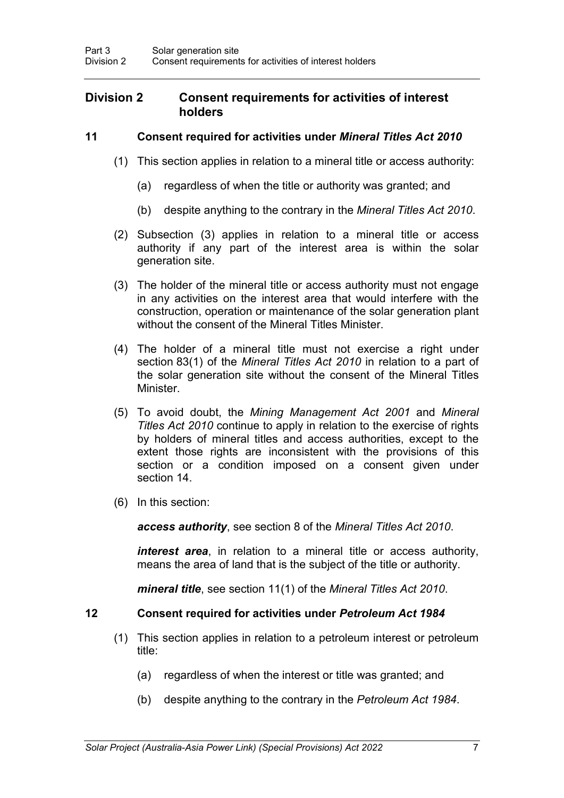## **Division 2 Consent requirements for activities of interest holders**

### **11 Consent required for activities under** *Mineral Titles Act 2010*

- (1) This section applies in relation to a mineral title or access authority:
	- (a) regardless of when the title or authority was granted; and
	- (b) despite anything to the contrary in the *Mineral Titles Act 2010*.
- (2) Subsection (3) applies in relation to a mineral title or access authority if any part of the interest area is within the solar generation site.
- (3) The holder of the mineral title or access authority must not engage in any activities on the interest area that would interfere with the construction, operation or maintenance of the solar generation plant without the consent of the Mineral Titles Minister.
- (4) The holder of a mineral title must not exercise a right under section 83(1) of the *Mineral Titles Act 2010* in relation to a part of the solar generation site without the consent of the Mineral Titles Minister.
- (5) To avoid doubt, the *Mining Management Act 2001* and *Mineral Titles Act 2010* continue to apply in relation to the exercise of rights by holders of mineral titles and access authorities, except to the extent those rights are inconsistent with the provisions of this section or a condition imposed on a consent given under section 14.
- (6) In this section:

*access authority*, see section 8 of the *Mineral Titles Act 2010*.

*interest area*, in relation to a mineral title or access authority, means the area of land that is the subject of the title or authority.

*mineral title*, see section 11(1) of the *Mineral Titles Act 2010*.

### **12 Consent required for activities under** *Petroleum Act 1984*

- (1) This section applies in relation to a petroleum interest or petroleum title:
	- (a) regardless of when the interest or title was granted; and
	- (b) despite anything to the contrary in the *Petroleum Act 1984*.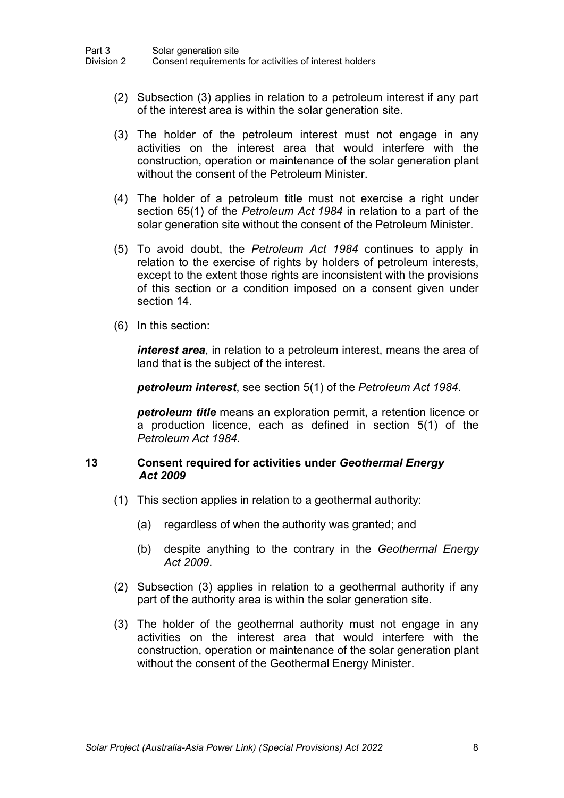- (2) Subsection (3) applies in relation to a petroleum interest if any part of the interest area is within the solar generation site.
- (3) The holder of the petroleum interest must not engage in any activities on the interest area that would interfere with the construction, operation or maintenance of the solar generation plant without the consent of the Petroleum Minister.
- (4) The holder of a petroleum title must not exercise a right under section 65(1) of the *Petroleum Act 1984* in relation to a part of the solar generation site without the consent of the Petroleum Minister.
- (5) To avoid doubt, the *Petroleum Act 1984* continues to apply in relation to the exercise of rights by holders of petroleum interests, except to the extent those rights are inconsistent with the provisions of this section or a condition imposed on a consent given under section 14.
- (6) In this section:

*interest area*, in relation to a petroleum interest, means the area of land that is the subject of the interest.

*petroleum interest*, see section 5(1) of the *Petroleum Act 1984*.

*petroleum title* means an exploration permit, a retention licence or a production licence, each as defined in section 5(1) of the *Petroleum Act 1984*.

#### **13 Consent required for activities under** *Geothermal Energy Act 2009*

- (1) This section applies in relation to a geothermal authority:
	- (a) regardless of when the authority was granted; and
	- (b) despite anything to the contrary in the *Geothermal Energy Act 2009*.
- (2) Subsection (3) applies in relation to a geothermal authority if any part of the authority area is within the solar generation site.
- (3) The holder of the geothermal authority must not engage in any activities on the interest area that would interfere with the construction, operation or maintenance of the solar generation plant without the consent of the Geothermal Energy Minister.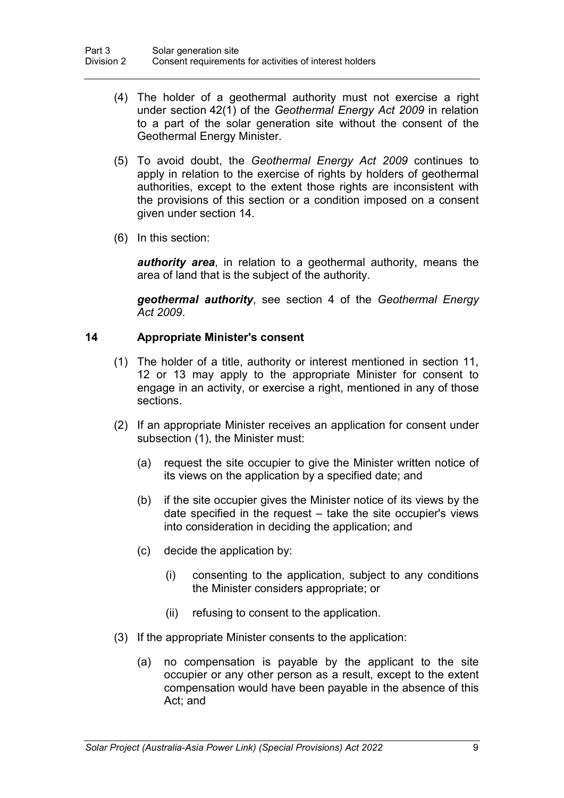- (4) The holder of a geothermal authority must not exercise a right under section 42(1) of the *Geothermal Energy Act 2009* in relation to a part of the solar generation site without the consent of the Geothermal Energy Minister.
- (5) To avoid doubt, the *Geothermal Energy Act 2009* continues to apply in relation to the exercise of rights by holders of geothermal authorities, except to the extent those rights are inconsistent with the provisions of this section or a condition imposed on a consent given under section 14.
- (6) In this section:

*authority area*, in relation to a geothermal authority, means the area of land that is the subject of the authority.

*geothermal authority*, see section 4 of the *Geothermal Energy Act 2009*.

## **14 Appropriate Minister's consent**

- (1) The holder of a title, authority or interest mentioned in section 11, 12 or 13 may apply to the appropriate Minister for consent to engage in an activity, or exercise a right, mentioned in any of those sections.
- (2) If an appropriate Minister receives an application for consent under subsection (1), the Minister must:
	- (a) request the site occupier to give the Minister written notice of its views on the application by a specified date; and
	- (b) if the site occupier gives the Minister notice of its views by the date specified in the request – take the site occupier's views into consideration in deciding the application; and
	- (c) decide the application by:
		- (i) consenting to the application, subject to any conditions the Minister considers appropriate; or
		- (ii) refusing to consent to the application.
- (3) If the appropriate Minister consents to the application:
	- (a) no compensation is payable by the applicant to the site occupier or any other person as a result, except to the extent compensation would have been payable in the absence of this Act; and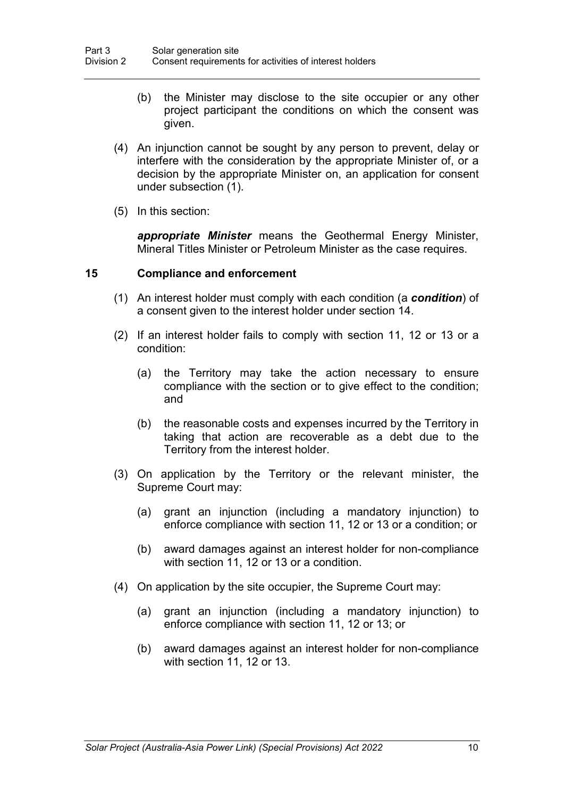- (b) the Minister may disclose to the site occupier or any other project participant the conditions on which the consent was given.
- (4) An injunction cannot be sought by any person to prevent, delay or interfere with the consideration by the appropriate Minister of, or a decision by the appropriate Minister on, an application for consent under subsection (1).
- (5) In this section:

*appropriate Minister* means the Geothermal Energy Minister, Mineral Titles Minister or Petroleum Minister as the case requires.

#### **15 Compliance and enforcement**

- (1) An interest holder must comply with each condition (a *condition*) of a consent given to the interest holder under section 14.
- (2) If an interest holder fails to comply with section 11, 12 or 13 or a condition:
	- (a) the Territory may take the action necessary to ensure compliance with the section or to give effect to the condition; and
	- (b) the reasonable costs and expenses incurred by the Territory in taking that action are recoverable as a debt due to the Territory from the interest holder.
- (3) On application by the Territory or the relevant minister, the Supreme Court may:
	- (a) grant an injunction (including a mandatory injunction) to enforce compliance with section 11, 12 or 13 or a condition; or
	- (b) award damages against an interest holder for non-compliance with section 11, 12 or 13 or a condition.
- (4) On application by the site occupier, the Supreme Court may:
	- (a) grant an injunction (including a mandatory injunction) to enforce compliance with section 11, 12 or 13; or
	- (b) award damages against an interest holder for non-compliance with section 11, 12 or 13.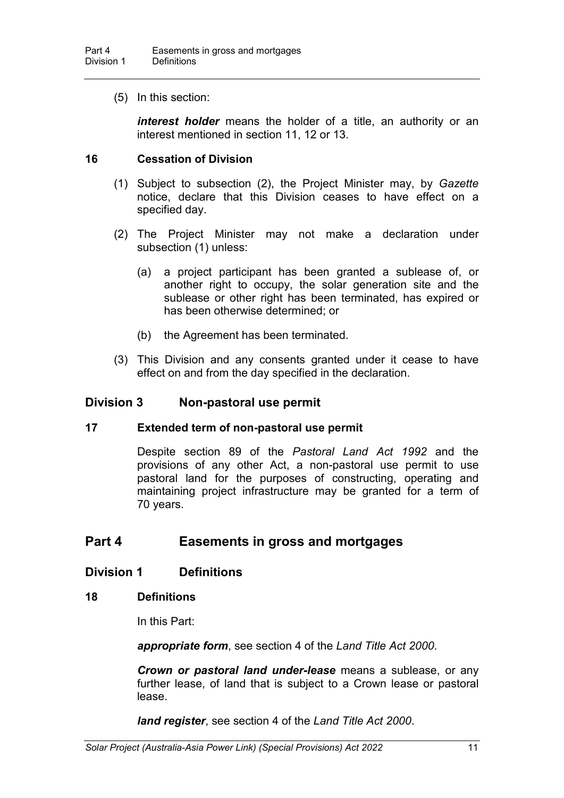(5) In this section:

*interest holder* means the holder of a title, an authority or an interest mentioned in section 11, 12 or 13.

#### **16 Cessation of Division**

- (1) Subject to subsection (2), the Project Minister may, by *Gazette* notice, declare that this Division ceases to have effect on a specified day.
- (2) The Project Minister may not make a declaration under subsection (1) unless:
	- (a) a project participant has been granted a sublease of, or another right to occupy, the solar generation site and the sublease or other right has been terminated, has expired or has been otherwise determined; or
	- (b) the Agreement has been terminated.
- (3) This Division and any consents granted under it cease to have effect on and from the day specified in the declaration.

#### **Division 3 Non-pastoral use permit**

#### **17 Extended term of non-pastoral use permit**

Despite section 89 of the *Pastoral Land Act 1992* and the provisions of any other Act, a non-pastoral use permit to use pastoral land for the purposes of constructing, operating and maintaining project infrastructure may be granted for a term of 70 years.

# **Part 4 Easements in gross and mortgages**

#### **Division 1 Definitions**

#### **18 Definitions**

In this Part:

*appropriate form*, see section 4 of the *Land Title Act 2000*.

*Crown or pastoral land under-lease* means a sublease, or any further lease, of land that is subject to a Crown lease or pastoral lease.

*land register*, see section 4 of the *Land Title Act 2000*.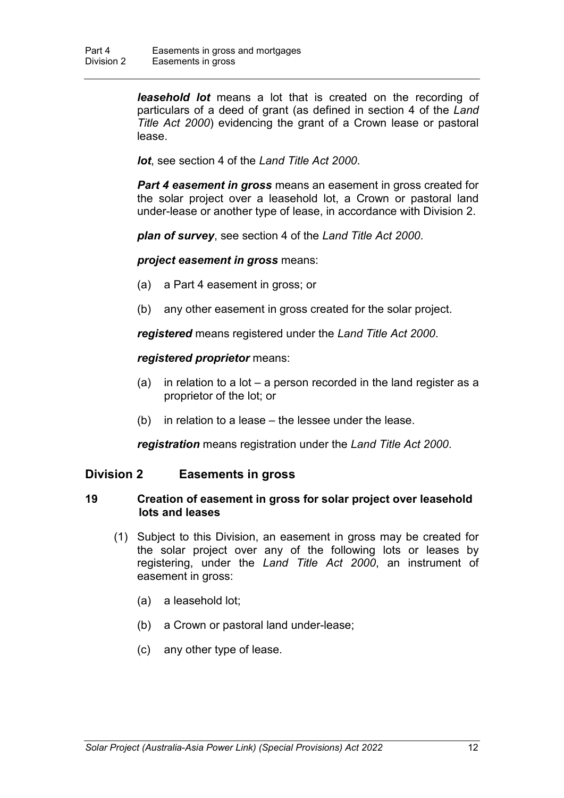*leasehold lot* means a lot that is created on the recording of particulars of a deed of grant (as defined in section 4 of the *Land Title Act 2000*) evidencing the grant of a Crown lease or pastoral lease.

*lot*, see section 4 of the *Land Title Act 2000*.

*Part 4 easement in gross* means an easement in gross created for the solar project over a leasehold lot, a Crown or pastoral land under-lease or another type of lease, in accordance with Division 2.

*plan of survey*, see section 4 of the *Land Title Act 2000*.

*project easement in gross* means:

- (a) a Part 4 easement in gross; or
- (b) any other easement in gross created for the solar project.

*registered* means registered under the *Land Title Act 2000*.

*registered proprietor* means:

- (a) in relation to a lot  $-$  a person recorded in the land register as a proprietor of the lot; or
- (b) in relation to a lease the lessee under the lease.

*registration* means registration under the *Land Title Act 2000*.

#### **Division 2 Easements in gross**

#### **19 Creation of easement in gross for solar project over leasehold lots and leases**

- (1) Subject to this Division, an easement in gross may be created for the solar project over any of the following lots or leases by registering, under the *Land Title Act 2000*, an instrument of easement in gross:
	- (a) a leasehold lot;
	- (b) a Crown or pastoral land under-lease;
	- (c) any other type of lease.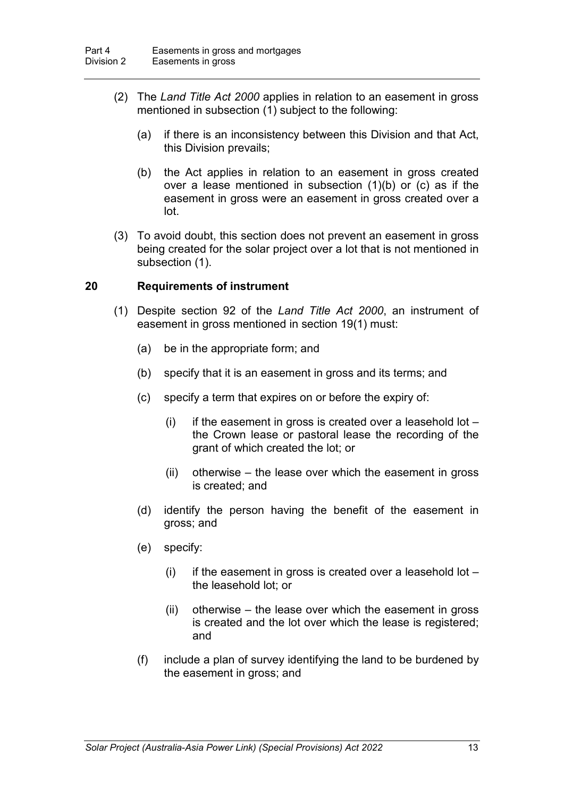- (2) The *Land Title Act 2000* applies in relation to an easement in gross mentioned in subsection (1) subject to the following:
	- (a) if there is an inconsistency between this Division and that Act, this Division prevails;
	- (b) the Act applies in relation to an easement in gross created over a lease mentioned in subsection (1)(b) or (c) as if the easement in gross were an easement in gross created over a lot.
- (3) To avoid doubt, this section does not prevent an easement in gross being created for the solar project over a lot that is not mentioned in subsection (1).

#### **20 Requirements of instrument**

- (1) Despite section 92 of the *Land Title Act 2000*, an instrument of easement in gross mentioned in section 19(1) must:
	- (a) be in the appropriate form; and
	- (b) specify that it is an easement in gross and its terms; and
	- (c) specify a term that expires on or before the expiry of:
		- (i) if the easement in gross is created over a leasehold lot  $$ the Crown lease or pastoral lease the recording of the grant of which created the lot; or
		- (ii) otherwise the lease over which the easement in gross is created; and
	- (d) identify the person having the benefit of the easement in gross; and
	- (e) specify:
		- (i) if the easement in gross is created over a leasehold lot  $$ the leasehold lot; or
		- (ii) otherwise the lease over which the easement in gross is created and the lot over which the lease is registered; and
	- (f) include a plan of survey identifying the land to be burdened by the easement in gross; and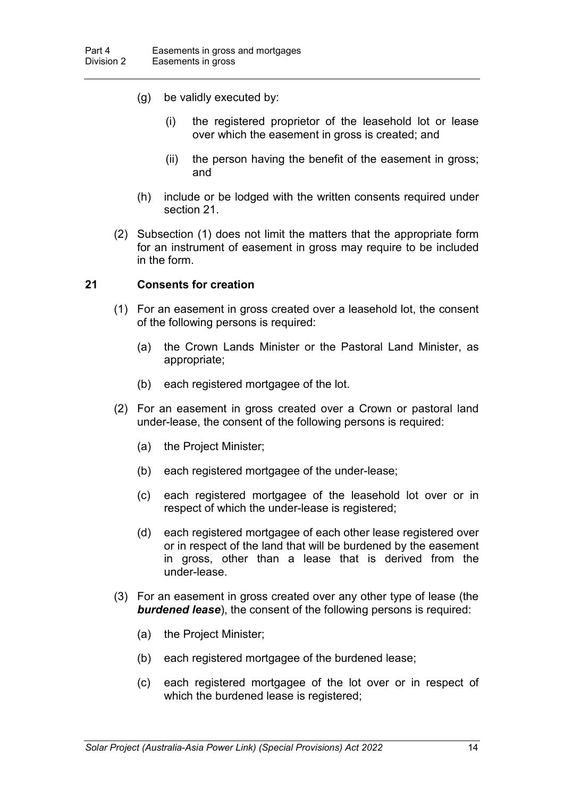- (g) be validly executed by:
	- (i) the registered proprietor of the leasehold lot or lease over which the easement in gross is created; and
	- (ii) the person having the benefit of the easement in gross; and
- (h) include or be lodged with the written consents required under section 21.
- (2) Subsection (1) does not limit the matters that the appropriate form for an instrument of easement in gross may require to be included in the form.

#### **21 Consents for creation**

- (1) For an easement in gross created over a leasehold lot, the consent of the following persons is required:
	- (a) the Crown Lands Minister or the Pastoral Land Minister, as appropriate;
	- (b) each registered mortgagee of the lot.
- (2) For an easement in gross created over a Crown or pastoral land under-lease, the consent of the following persons is required:
	- (a) the Project Minister;
	- (b) each registered mortgagee of the under-lease;
	- (c) each registered mortgagee of the leasehold lot over or in respect of which the under-lease is registered;
	- (d) each registered mortgagee of each other lease registered over or in respect of the land that will be burdened by the easement in gross, other than a lease that is derived from the under-lease.
- (3) For an easement in gross created over any other type of lease (the *burdened lease*), the consent of the following persons is required:
	- (a) the Project Minister;
	- (b) each registered mortgagee of the burdened lease;
	- (c) each registered mortgagee of the lot over or in respect of which the burdened lease is registered;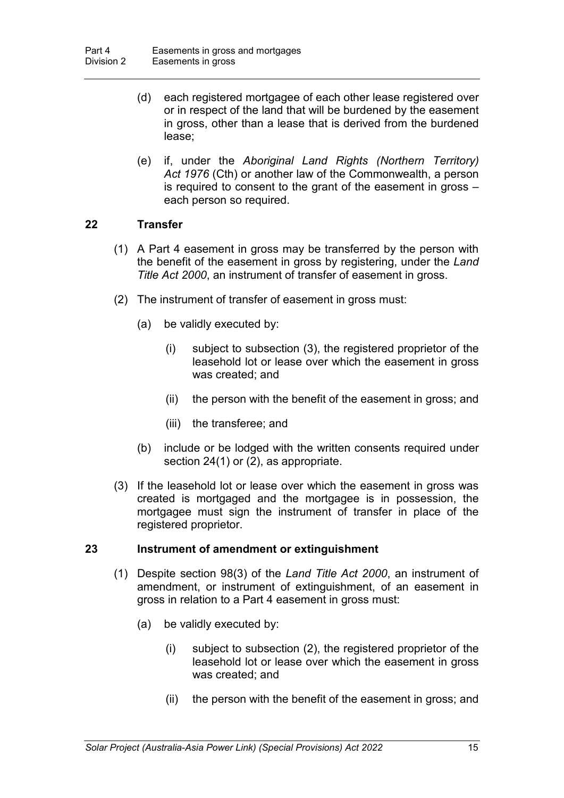- (d) each registered mortgagee of each other lease registered over or in respect of the land that will be burdened by the easement in gross, other than a lease that is derived from the burdened lease;
- (e) if, under the *Aboriginal Land Rights (Northern Territory) Act 1976* (Cth) or another law of the Commonwealth, a person is required to consent to the grant of the easement in gross – each person so required.

#### **22 Transfer**

- (1) A Part 4 easement in gross may be transferred by the person with the benefit of the easement in gross by registering, under the *Land Title Act 2000*, an instrument of transfer of easement in gross.
- (2) The instrument of transfer of easement in gross must:
	- (a) be validly executed by:
		- (i) subject to subsection (3), the registered proprietor of the leasehold lot or lease over which the easement in gross was created; and
		- (ii) the person with the benefit of the easement in gross; and
		- (iii) the transferee; and
	- (b) include or be lodged with the written consents required under section 24(1) or (2), as appropriate.
- (3) If the leasehold lot or lease over which the easement in gross was created is mortgaged and the mortgagee is in possession, the mortgagee must sign the instrument of transfer in place of the registered proprietor.

#### **23 Instrument of amendment or extinguishment**

- (1) Despite section 98(3) of the *Land Title Act 2000*, an instrument of amendment, or instrument of extinguishment, of an easement in gross in relation to a Part 4 easement in gross must:
	- (a) be validly executed by:
		- (i) subject to subsection (2), the registered proprietor of the leasehold lot or lease over which the easement in gross was created; and
		- (ii) the person with the benefit of the easement in gross; and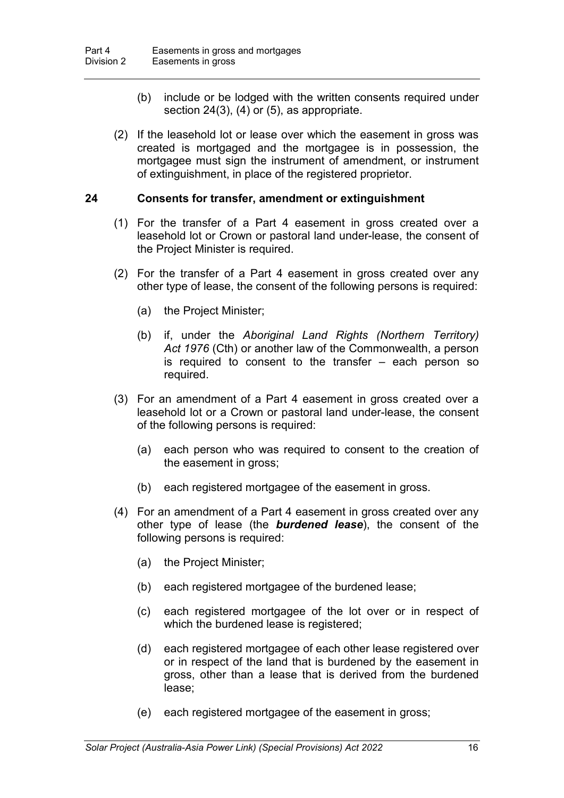- (b) include or be lodged with the written consents required under section 24(3), (4) or (5), as appropriate.
- (2) If the leasehold lot or lease over which the easement in gross was created is mortgaged and the mortgagee is in possession, the mortgagee must sign the instrument of amendment, or instrument of extinguishment, in place of the registered proprietor.

#### **24 Consents for transfer, amendment or extinguishment**

- (1) For the transfer of a Part 4 easement in gross created over a leasehold lot or Crown or pastoral land under-lease, the consent of the Project Minister is required.
- (2) For the transfer of a Part 4 easement in gross created over any other type of lease, the consent of the following persons is required:
	- (a) the Project Minister;
	- (b) if, under the *Aboriginal Land Rights (Northern Territory) Act 1976* (Cth) or another law of the Commonwealth, a person is required to consent to the transfer – each person so required.
- (3) For an amendment of a Part 4 easement in gross created over a leasehold lot or a Crown or pastoral land under-lease, the consent of the following persons is required:
	- (a) each person who was required to consent to the creation of the easement in gross;
	- (b) each registered mortgagee of the easement in gross.
- (4) For an amendment of a Part 4 easement in gross created over any other type of lease (the *burdened lease*), the consent of the following persons is required:
	- (a) the Project Minister;
	- (b) each registered mortgagee of the burdened lease;
	- (c) each registered mortgagee of the lot over or in respect of which the burdened lease is registered;
	- (d) each registered mortgagee of each other lease registered over or in respect of the land that is burdened by the easement in gross, other than a lease that is derived from the burdened lease;
	- (e) each registered mortgagee of the easement in gross;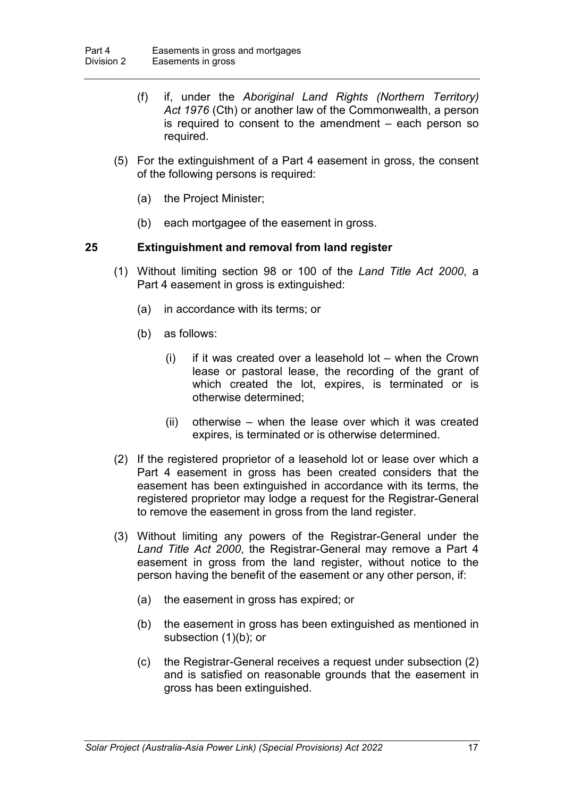- (f) if, under the *Aboriginal Land Rights (Northern Territory) Act 1976* (Cth) or another law of the Commonwealth, a person is required to consent to the amendment – each person so required.
- (5) For the extinguishment of a Part 4 easement in gross, the consent of the following persons is required:
	- (a) the Project Minister;
	- (b) each mortgagee of the easement in gross.

#### **25 Extinguishment and removal from land register**

- (1) Without limiting section 98 or 100 of the *Land Title Act 2000*, a Part 4 easement in gross is extinguished:
	- (a) in accordance with its terms; or
	- (b) as follows:
		- $(i)$  if it was created over a leasehold lot when the Crown lease or pastoral lease, the recording of the grant of which created the lot, expires, is terminated or is otherwise determined;
		- (ii) otherwise when the lease over which it was created expires, is terminated or is otherwise determined.
- (2) If the registered proprietor of a leasehold lot or lease over which a Part 4 easement in gross has been created considers that the easement has been extinguished in accordance with its terms, the registered proprietor may lodge a request for the Registrar-General to remove the easement in gross from the land register.
- (3) Without limiting any powers of the Registrar-General under the *Land Title Act 2000*, the Registrar-General may remove a Part 4 easement in gross from the land register, without notice to the person having the benefit of the easement or any other person, if:
	- (a) the easement in gross has expired; or
	- (b) the easement in gross has been extinguished as mentioned in subsection (1)(b); or
	- (c) the Registrar-General receives a request under subsection (2) and is satisfied on reasonable grounds that the easement in gross has been extinguished.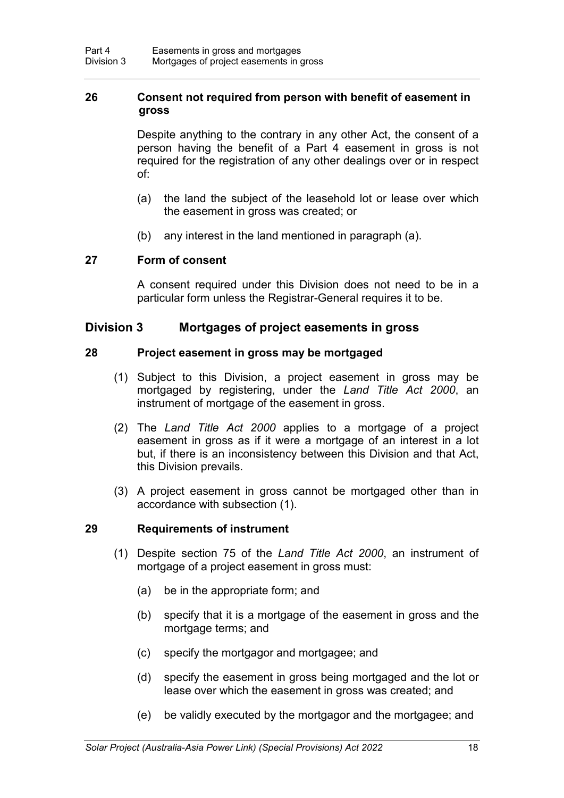## **26 Consent not required from person with benefit of easement in gross**

Despite anything to the contrary in any other Act, the consent of a person having the benefit of a Part 4 easement in gross is not required for the registration of any other dealings over or in respect of:

- (a) the land the subject of the leasehold lot or lease over which the easement in gross was created; or
- (b) any interest in the land mentioned in paragraph (a).

#### **27 Form of consent**

A consent required under this Division does not need to be in a particular form unless the Registrar-General requires it to be.

#### **Division 3 Mortgages of project easements in gross**

#### **28 Project easement in gross may be mortgaged**

- (1) Subject to this Division, a project easement in gross may be mortgaged by registering, under the *Land Title Act 2000*, an instrument of mortgage of the easement in gross.
- (2) The *Land Title Act 2000* applies to a mortgage of a project easement in gross as if it were a mortgage of an interest in a lot but, if there is an inconsistency between this Division and that Act, this Division prevails.
- (3) A project easement in gross cannot be mortgaged other than in accordance with subsection (1).

#### **29 Requirements of instrument**

- (1) Despite section 75 of the *Land Title Act 2000*, an instrument of mortgage of a project easement in gross must:
	- (a) be in the appropriate form; and
	- (b) specify that it is a mortgage of the easement in gross and the mortgage terms; and
	- (c) specify the mortgagor and mortgagee; and
	- (d) specify the easement in gross being mortgaged and the lot or lease over which the easement in gross was created; and
	- (e) be validly executed by the mortgagor and the mortgagee; and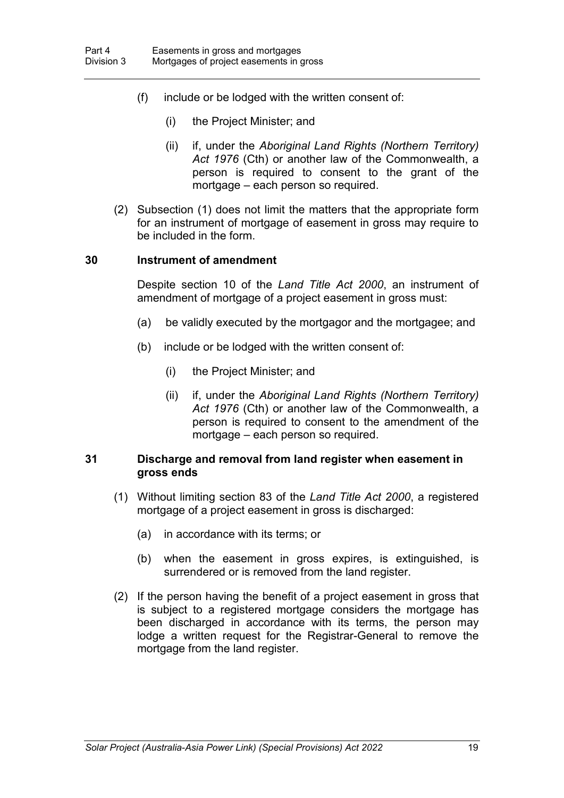- (f) include or be lodged with the written consent of:
	- (i) the Project Minister; and
	- (ii) if, under the *Aboriginal Land Rights (Northern Territory) Act 1976* (Cth) or another law of the Commonwealth, a person is required to consent to the grant of the mortgage – each person so required.
- (2) Subsection (1) does not limit the matters that the appropriate form for an instrument of mortgage of easement in gross may require to be included in the form.

#### **30 Instrument of amendment**

Despite section 10 of the *Land Title Act 2000*, an instrument of amendment of mortgage of a project easement in gross must:

- (a) be validly executed by the mortgagor and the mortgagee; and
- (b) include or be lodged with the written consent of:
	- (i) the Project Minister; and
	- (ii) if, under the *Aboriginal Land Rights (Northern Territory) Act 1976* (Cth) or another law of the Commonwealth, a person is required to consent to the amendment of the mortgage – each person so required.

#### **31 Discharge and removal from land register when easement in gross ends**

- (1) Without limiting section 83 of the *Land Title Act 2000*, a registered mortgage of a project easement in gross is discharged:
	- (a) in accordance with its terms; or
	- (b) when the easement in gross expires, is extinguished, is surrendered or is removed from the land register.
- (2) If the person having the benefit of a project easement in gross that is subject to a registered mortgage considers the mortgage has been discharged in accordance with its terms, the person may lodge a written request for the Registrar-General to remove the mortgage from the land register.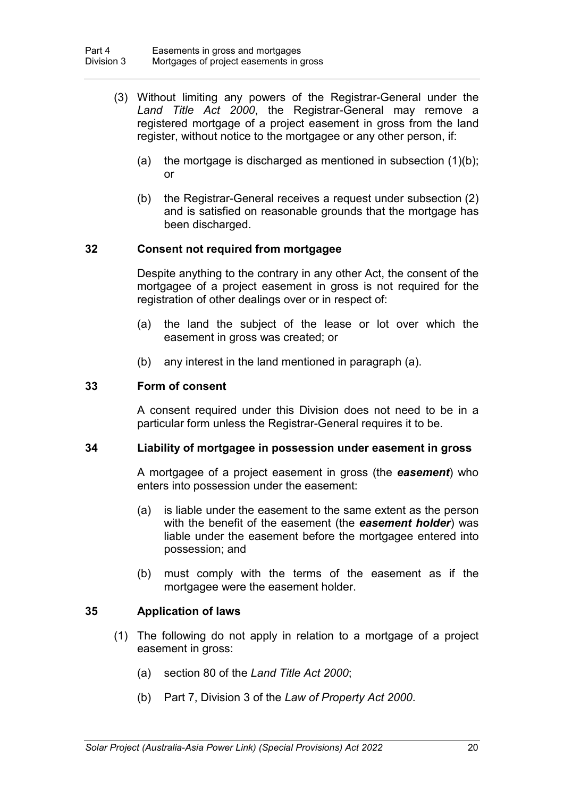- (3) Without limiting any powers of the Registrar-General under the *Land Title Act 2000*, the Registrar-General may remove a registered mortgage of a project easement in gross from the land register, without notice to the mortgagee or any other person, if:
	- (a) the mortgage is discharged as mentioned in subsection  $(1)(b)$ ; or
	- (b) the Registrar-General receives a request under subsection (2) and is satisfied on reasonable grounds that the mortgage has been discharged.

#### **32 Consent not required from mortgagee**

Despite anything to the contrary in any other Act, the consent of the mortgagee of a project easement in gross is not required for the registration of other dealings over or in respect of:

- (a) the land the subject of the lease or lot over which the easement in gross was created; or
- (b) any interest in the land mentioned in paragraph (a).

#### **33 Form of consent**

A consent required under this Division does not need to be in a particular form unless the Registrar-General requires it to be.

#### **34 Liability of mortgagee in possession under easement in gross**

A mortgagee of a project easement in gross (the *easement*) who enters into possession under the easement:

- (a) is liable under the easement to the same extent as the person with the benefit of the easement (the *easement holder*) was liable under the easement before the mortgagee entered into possession; and
- (b) must comply with the terms of the easement as if the mortgagee were the easement holder.

#### **35 Application of laws**

- (1) The following do not apply in relation to a mortgage of a project easement in gross:
	- (a) section 80 of the *Land Title Act 2000*;
	- (b) Part 7, Division 3 of the *Law of Property Act 2000*.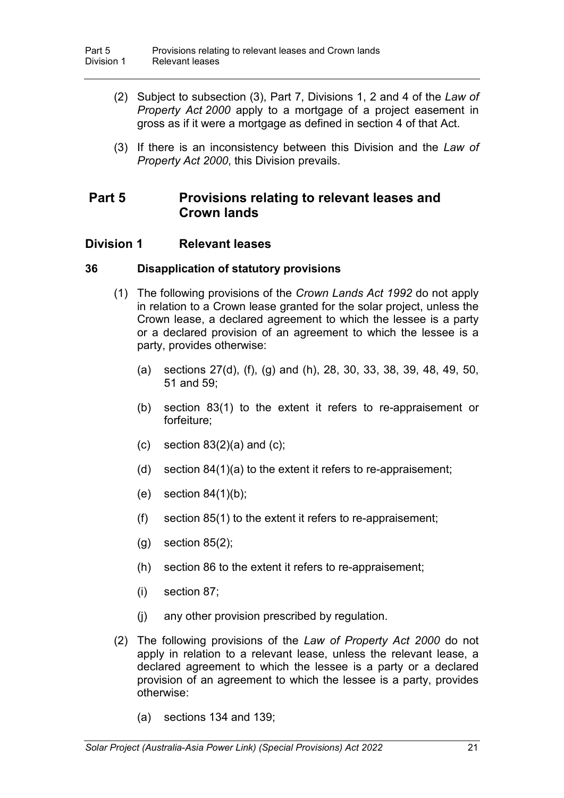- (2) Subject to subsection (3), Part 7, Divisions 1, 2 and 4 of the *Law of Property Act 2000* apply to a mortgage of a project easement in gross as if it were a mortgage as defined in section 4 of that Act.
- (3) If there is an inconsistency between this Division and the *Law of Property Act 2000*, this Division prevails.

# **Part 5 Provisions relating to relevant leases and Crown lands**

# **Division 1 Relevant leases**

## **36 Disapplication of statutory provisions**

- (1) The following provisions of the *Crown Lands Act 1992* do not apply in relation to a Crown lease granted for the solar project, unless the Crown lease, a declared agreement to which the lessee is a party or a declared provision of an agreement to which the lessee is a party, provides otherwise:
	- (a) sections 27(d), (f), (g) and (h), 28, 30, 33, 38, 39, 48, 49, 50, 51 and 59;
	- (b) section 83(1) to the extent it refers to re-appraisement or forfeiture;
	- (c) section  $83(2)(a)$  and (c);
	- (d) section 84(1)(a) to the extent it refers to re-appraisement;
	- (e) section  $84(1)(b)$ ;
	- (f) section 85(1) to the extent it refers to re-appraisement;
	- $(g)$  section 85 $(2)$ ;
	- (h) section 86 to the extent it refers to re-appraisement;
	- (i) section 87;
	- (j) any other provision prescribed by regulation.
- (2) The following provisions of the *Law of Property Act 2000* do not apply in relation to a relevant lease, unless the relevant lease, a declared agreement to which the lessee is a party or a declared provision of an agreement to which the lessee is a party, provides otherwise:
	- (a) sections 134 and 139;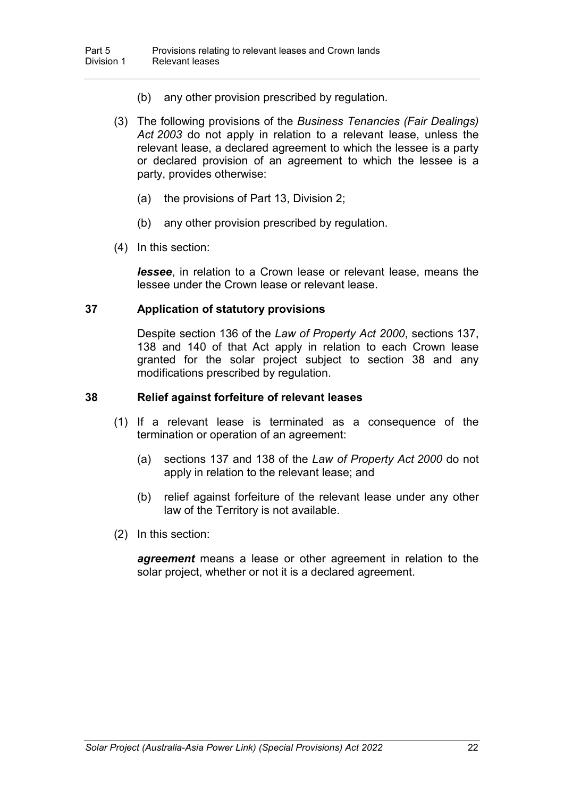- (b) any other provision prescribed by regulation.
- (3) The following provisions of the *Business Tenancies (Fair Dealings) Act 2003* do not apply in relation to a relevant lease, unless the relevant lease, a declared agreement to which the lessee is a party or declared provision of an agreement to which the lessee is a party, provides otherwise:
	- (a) the provisions of Part 13, Division 2;
	- (b) any other provision prescribed by regulation.
- (4) In this section:

*lessee*, in relation to a Crown lease or relevant lease, means the lessee under the Crown lease or relevant lease.

#### **37 Application of statutory provisions**

Despite section 136 of the *Law of Property Act 2000*, sections 137, 138 and 140 of that Act apply in relation to each Crown lease granted for the solar project subject to section 38 and any modifications prescribed by regulation.

#### **38 Relief against forfeiture of relevant leases**

- (1) If a relevant lease is terminated as a consequence of the termination or operation of an agreement:
	- (a) sections 137 and 138 of the *Law of Property Act 2000* do not apply in relation to the relevant lease; and
	- (b) relief against forfeiture of the relevant lease under any other law of the Territory is not available.
- (2) In this section:

*agreement* means a lease or other agreement in relation to the solar project, whether or not it is a declared agreement.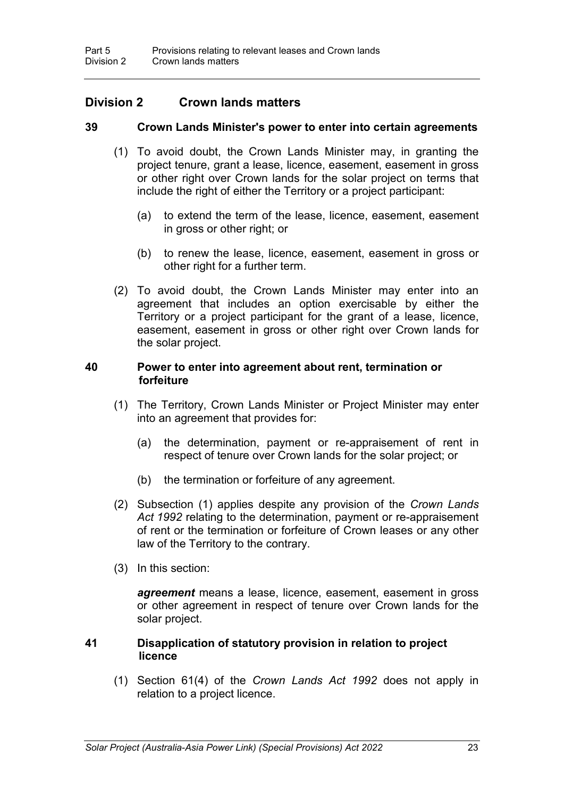# **Division 2 Crown lands matters**

#### **39 Crown Lands Minister's power to enter into certain agreements**

- (1) To avoid doubt, the Crown Lands Minister may, in granting the project tenure, grant a lease, licence, easement, easement in gross or other right over Crown lands for the solar project on terms that include the right of either the Territory or a project participant:
	- (a) to extend the term of the lease, licence, easement, easement in gross or other right; or
	- (b) to renew the lease, licence, easement, easement in gross or other right for a further term.
- (2) To avoid doubt, the Crown Lands Minister may enter into an agreement that includes an option exercisable by either the Territory or a project participant for the grant of a lease, licence, easement, easement in gross or other right over Crown lands for the solar project.

#### **40 Power to enter into agreement about rent, termination or forfeiture**

- (1) The Territory, Crown Lands Minister or Project Minister may enter into an agreement that provides for:
	- (a) the determination, payment or re-appraisement of rent in respect of tenure over Crown lands for the solar project; or
	- (b) the termination or forfeiture of any agreement.
- (2) Subsection (1) applies despite any provision of the *Crown Lands Act 1992* relating to the determination, payment or re-appraisement of rent or the termination or forfeiture of Crown leases or any other law of the Territory to the contrary.
- (3) In this section:

*agreement* means a lease, licence, easement, easement in gross or other agreement in respect of tenure over Crown lands for the solar project.

#### **41 Disapplication of statutory provision in relation to project licence**

(1) Section 61(4) of the *Crown Lands Act 1992* does not apply in relation to a project licence.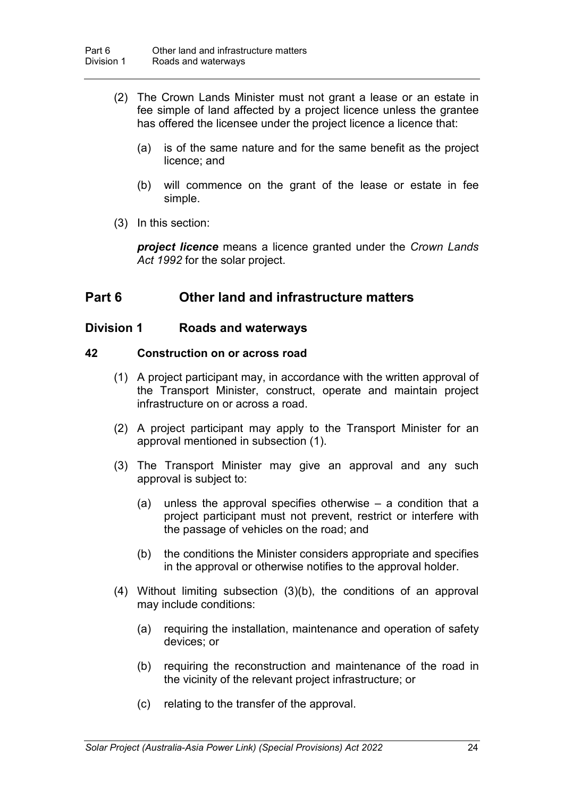- (2) The Crown Lands Minister must not grant a lease or an estate in fee simple of land affected by a project licence unless the grantee has offered the licensee under the project licence a licence that:
	- (a) is of the same nature and for the same benefit as the project licence; and
	- (b) will commence on the grant of the lease or estate in fee simple.
- (3) In this section:

*project licence* means a licence granted under the *Crown Lands Act 1992* for the solar project.

# **Part 6 Other land and infrastructure matters**

## **Division 1 Roads and waterways**

#### **42 Construction on or across road**

- (1) A project participant may, in accordance with the written approval of the Transport Minister, construct, operate and maintain project infrastructure on or across a road.
- (2) A project participant may apply to the Transport Minister for an approval mentioned in subsection (1).
- (3) The Transport Minister may give an approval and any such approval is subject to:
	- (a) unless the approval specifies otherwise a condition that a project participant must not prevent, restrict or interfere with the passage of vehicles on the road; and
	- (b) the conditions the Minister considers appropriate and specifies in the approval or otherwise notifies to the approval holder.
- (4) Without limiting subsection (3)(b), the conditions of an approval may include conditions:
	- (a) requiring the installation, maintenance and operation of safety devices; or
	- (b) requiring the reconstruction and maintenance of the road in the vicinity of the relevant project infrastructure; or
	- (c) relating to the transfer of the approval.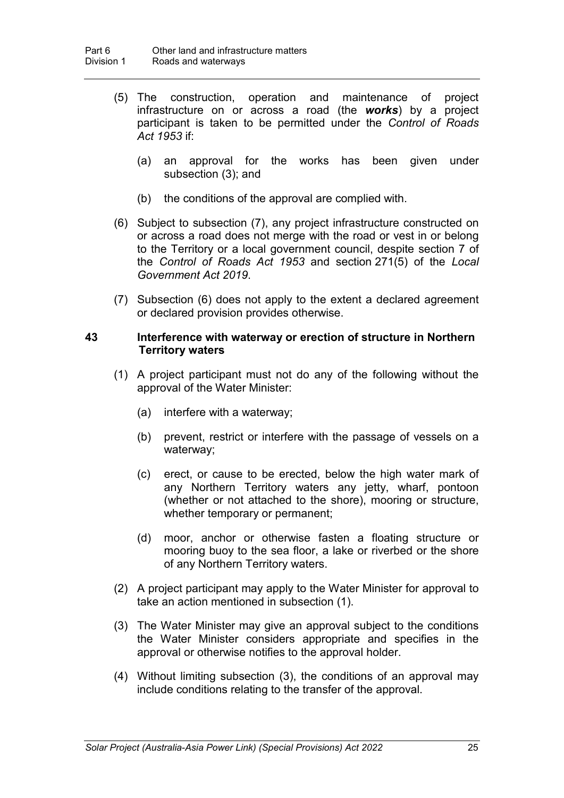- (5) The construction, operation and maintenance of project infrastructure on or across a road (the *works*) by a project participant is taken to be permitted under the *Control of Roads Act 1953* if:
	- (a) an approval for the works has been given under subsection (3); and
	- (b) the conditions of the approval are complied with.
- (6) Subject to subsection (7), any project infrastructure constructed on or across a road does not merge with the road or vest in or belong to the Territory or a local government council, despite section 7 of the *Control of Roads Act 1953* and section 271(5) of the *Local Government Act 2019*.
- (7) Subsection (6) does not apply to the extent a declared agreement or declared provision provides otherwise.

#### **43 Interference with waterway or erection of structure in Northern Territory waters**

- (1) A project participant must not do any of the following without the approval of the Water Minister:
	- (a) interfere with a waterway;
	- (b) prevent, restrict or interfere with the passage of vessels on a waterway;
	- (c) erect, or cause to be erected, below the high water mark of any Northern Territory waters any jetty, wharf, pontoon (whether or not attached to the shore), mooring or structure, whether temporary or permanent;
	- (d) moor, anchor or otherwise fasten a floating structure or mooring buoy to the sea floor, a lake or riverbed or the shore of any Northern Territory waters.
- (2) A project participant may apply to the Water Minister for approval to take an action mentioned in subsection (1).
- (3) The Water Minister may give an approval subject to the conditions the Water Minister considers appropriate and specifies in the approval or otherwise notifies to the approval holder.
- (4) Without limiting subsection (3), the conditions of an approval may include conditions relating to the transfer of the approval.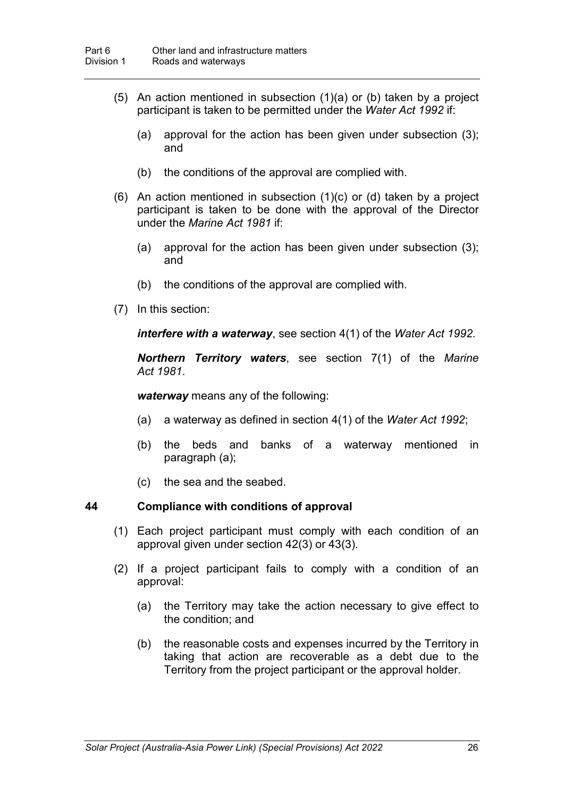- (5) An action mentioned in subsection (1)(a) or (b) taken by a project participant is taken to be permitted under the *Water Act 1992* if:
	- (a) approval for the action has been given under subsection (3); and
	- (b) the conditions of the approval are complied with.
- (6) An action mentioned in subsection (1)(c) or (d) taken by a project participant is taken to be done with the approval of the Director under the *Marine Act 1981* if:
	- (a) approval for the action has been given under subsection (3); and
	- (b) the conditions of the approval are complied with.
- (7) In this section:

*interfere with a waterway*, see section 4(1) of the *Water Act 1992.*

*Northern Territory waters*, see section 7(1) of the *Marine Act 1981*.

*waterway* means any of the following:

- (a) a waterway as defined in section 4(1) of the *Water Act 1992*;
- (b) the beds and banks of a waterway mentioned in paragraph (a);
- (c) the sea and the seabed.

#### **44 Compliance with conditions of approval**

- (1) Each project participant must comply with each condition of an approval given under section 42(3) or 43(3).
- (2) If a project participant fails to comply with a condition of an approval:
	- (a) the Territory may take the action necessary to give effect to the condition; and
	- (b) the reasonable costs and expenses incurred by the Territory in taking that action are recoverable as a debt due to the Territory from the project participant or the approval holder.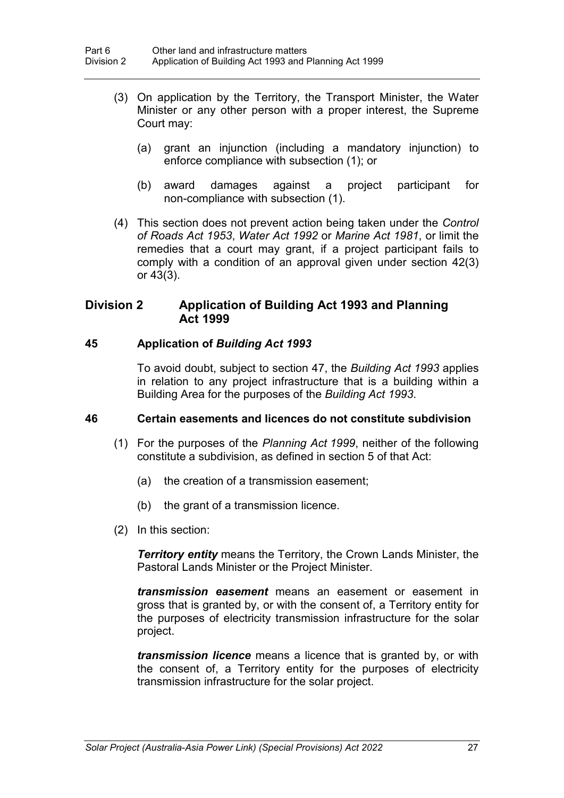- (3) On application by the Territory, the Transport Minister, the Water Minister or any other person with a proper interest, the Supreme Court may:
	- (a) grant an injunction (including a mandatory injunction) to enforce compliance with subsection (1); or
	- (b) award damages against a project participant for non-compliance with subsection (1).
- (4) This section does not prevent action being taken under the *Control of Roads Act 1953*, *Water Act 1992* or *Marine Act 1981*, or limit the remedies that a court may grant, if a project participant fails to comply with a condition of an approval given under section 42(3) or 43(3).

# **Division 2 Application of Building Act 1993 and Planning Act 1999**

## **45 Application of** *Building Act 1993*

To avoid doubt, subject to section 47, the *Building Act 1993* applies in relation to any project infrastructure that is a building within a Building Area for the purposes of the *Building Act 1993*.

#### **46 Certain easements and licences do not constitute subdivision**

- (1) For the purposes of the *Planning Act 1999*, neither of the following constitute a subdivision, as defined in section 5 of that Act:
	- (a) the creation of a transmission easement;
	- (b) the grant of a transmission licence.
- (2) In this section:

*Territory entity* means the Territory, the Crown Lands Minister, the Pastoral Lands Minister or the Project Minister.

*transmission easement* means an easement or easement in gross that is granted by, or with the consent of, a Territory entity for the purposes of electricity transmission infrastructure for the solar project.

*transmission licence* means a licence that is granted by, or with the consent of, a Territory entity for the purposes of electricity transmission infrastructure for the solar project.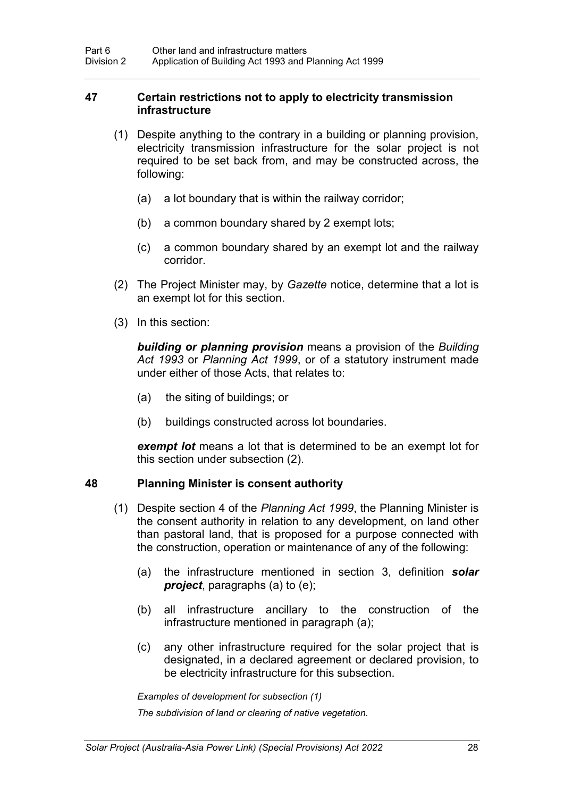#### **47 Certain restrictions not to apply to electricity transmission infrastructure**

- (1) Despite anything to the contrary in a building or planning provision, electricity transmission infrastructure for the solar project is not required to be set back from, and may be constructed across, the following:
	- (a) a lot boundary that is within the railway corridor;
	- (b) a common boundary shared by 2 exempt lots;
	- (c) a common boundary shared by an exempt lot and the railway corridor.
- (2) The Project Minister may, by *Gazette* notice, determine that a lot is an exempt lot for this section.
- (3) In this section:

*building or planning provision* means a provision of the *Building Act 1993* or *Planning Act 1999*, or of a statutory instrument made under either of those Acts, that relates to:

- (a) the siting of buildings; or
- (b) buildings constructed across lot boundaries.

*exempt lot* means a lot that is determined to be an exempt lot for this section under subsection (2).

### **48 Planning Minister is consent authority**

- (1) Despite section 4 of the *Planning Act 1999*, the Planning Minister is the consent authority in relation to any development, on land other than pastoral land, that is proposed for a purpose connected with the construction, operation or maintenance of any of the following:
	- (a) the infrastructure mentioned in section 3, definition *solar project*, paragraphs (a) to (e);
	- (b) all infrastructure ancillary to the construction of the infrastructure mentioned in paragraph (a);
	- (c) any other infrastructure required for the solar project that is designated, in a declared agreement or declared provision, to be electricity infrastructure for this subsection.

*Examples of development for subsection (1)*

*The subdivision of land or clearing of native vegetation.*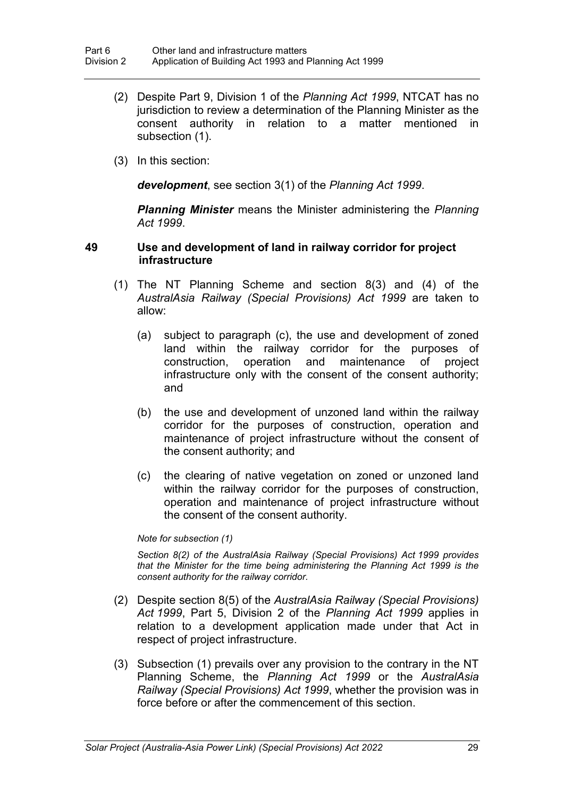- (2) Despite Part 9, Division 1 of the *Planning Act 1999*, NTCAT has no jurisdiction to review a determination of the Planning Minister as the consent authority in relation to a matter mentioned in subsection (1).
- (3) In this section:

*development*, see section 3(1) of the *Planning Act 1999*.

*Planning Minister* means the Minister administering the *Planning Act 1999*.

#### **49 Use and development of land in railway corridor for project infrastructure**

- (1) The NT Planning Scheme and section 8(3) and (4) of the *AustralAsia Railway (Special Provisions) Act 1999* are taken to allow:
	- (a) subject to paragraph (c), the use and development of zoned land within the railway corridor for the purposes of construction, operation and maintenance of project infrastructure only with the consent of the consent authority; and
	- (b) the use and development of unzoned land within the railway corridor for the purposes of construction, operation and maintenance of project infrastructure without the consent of the consent authority; and
	- (c) the clearing of native vegetation on zoned or unzoned land within the railway corridor for the purposes of construction, operation and maintenance of project infrastructure without the consent of the consent authority.

#### *Note for subsection (1)*

*Section 8(2) of the AustralAsia Railway (Special Provisions) Act 1999 provides that the Minister for the time being administering the Planning Act 1999 is the consent authority for the railway corridor.*

- (2) Despite section 8(5) of the *AustralAsia Railway (Special Provisions) Act 1999*, Part 5, Division 2 of the *Planning Act 1999* applies in relation to a development application made under that Act in respect of project infrastructure.
- (3) Subsection (1) prevails over any provision to the contrary in the NT Planning Scheme, the *Planning Act 1999* or the *AustralAsia Railway (Special Provisions) Act 1999*, whether the provision was in force before or after the commencement of this section.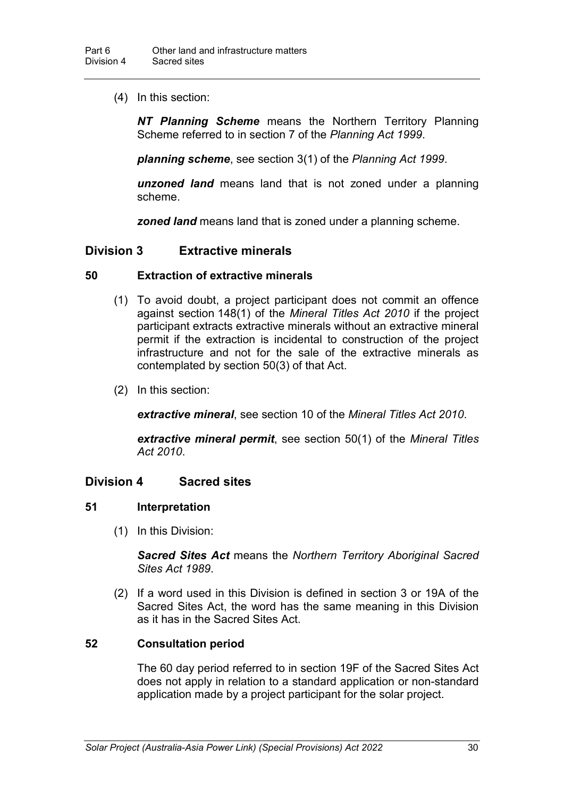(4) In this section:

*NT Planning Scheme* means the Northern Territory Planning Scheme referred to in section 7 of the *Planning Act 1999*.

*planning scheme*, see section 3(1) of the *Planning Act 1999*.

*unzoned land* means land that is not zoned under a planning scheme.

*zoned land* means land that is zoned under a planning scheme.

## **Division 3 Extractive minerals**

#### **50 Extraction of extractive minerals**

- (1) To avoid doubt, a project participant does not commit an offence against section 148(1) of the *Mineral Titles Act 2010* if the project participant extracts extractive minerals without an extractive mineral permit if the extraction is incidental to construction of the project infrastructure and not for the sale of the extractive minerals as contemplated by section 50(3) of that Act.
- (2) In this section:

*extractive mineral*, see section 10 of the *Mineral Titles Act 2010*.

*extractive mineral permit*, see section 50(1) of the *Mineral Titles Act 2010*.

# **Division 4 Sacred sites**

#### **51 Interpretation**

(1) In this Division:

*Sacred Sites Act* means the *Northern Territory Aboriginal Sacred Sites Act 1989*.

(2) If a word used in this Division is defined in section 3 or 19A of the Sacred Sites Act, the word has the same meaning in this Division as it has in the Sacred Sites Act.

#### **52 Consultation period**

The 60 day period referred to in section 19F of the Sacred Sites Act does not apply in relation to a standard application or non-standard application made by a project participant for the solar project.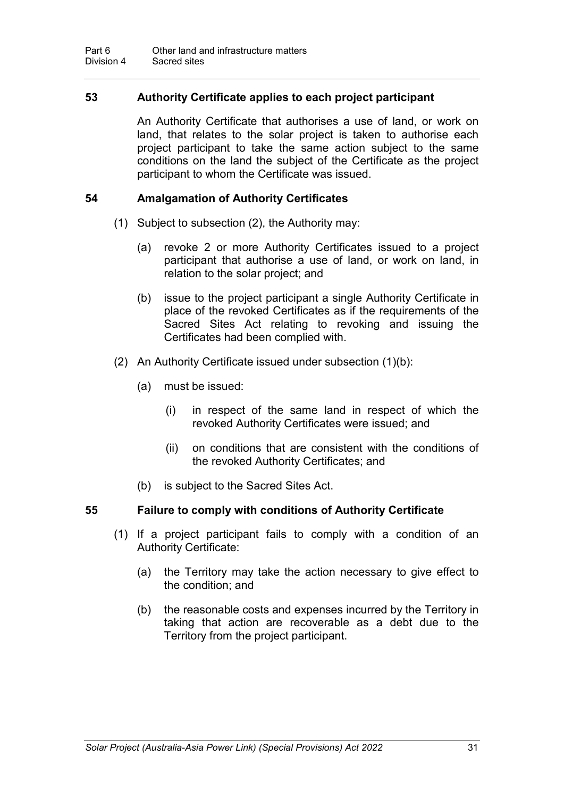## **53 Authority Certificate applies to each project participant**

An Authority Certificate that authorises a use of land, or work on land, that relates to the solar project is taken to authorise each project participant to take the same action subject to the same conditions on the land the subject of the Certificate as the project participant to whom the Certificate was issued.

### **54 Amalgamation of Authority Certificates**

- (1) Subject to subsection (2), the Authority may:
	- (a) revoke 2 or more Authority Certificates issued to a project participant that authorise a use of land, or work on land, in relation to the solar project; and
	- (b) issue to the project participant a single Authority Certificate in place of the revoked Certificates as if the requirements of the Sacred Sites Act relating to revoking and issuing the Certificates had been complied with.
- (2) An Authority Certificate issued under subsection (1)(b):
	- (a) must be issued:
		- (i) in respect of the same land in respect of which the revoked Authority Certificates were issued; and
		- (ii) on conditions that are consistent with the conditions of the revoked Authority Certificates; and
	- (b) is subject to the Sacred Sites Act.

# **55 Failure to comply with conditions of Authority Certificate**

- (1) If a project participant fails to comply with a condition of an Authority Certificate:
	- (a) the Territory may take the action necessary to give effect to the condition; and
	- (b) the reasonable costs and expenses incurred by the Territory in taking that action are recoverable as a debt due to the Territory from the project participant.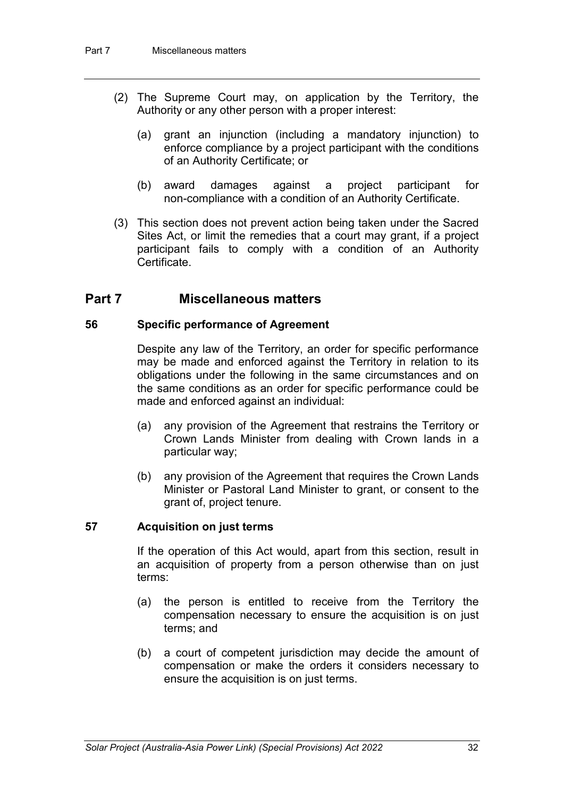- (2) The Supreme Court may, on application by the Territory, the Authority or any other person with a proper interest:
	- (a) grant an injunction (including a mandatory injunction) to enforce compliance by a project participant with the conditions of an Authority Certificate; or
	- (b) award damages against a project participant for non-compliance with a condition of an Authority Certificate.
- (3) This section does not prevent action being taken under the Sacred Sites Act, or limit the remedies that a court may grant, if a project participant fails to comply with a condition of an Authority **Certificate**

# **Part 7 Miscellaneous matters**

## **56 Specific performance of Agreement**

Despite any law of the Territory, an order for specific performance may be made and enforced against the Territory in relation to its obligations under the following in the same circumstances and on the same conditions as an order for specific performance could be made and enforced against an individual:

- (a) any provision of the Agreement that restrains the Territory or Crown Lands Minister from dealing with Crown lands in a particular way;
- (b) any provision of the Agreement that requires the Crown Lands Minister or Pastoral Land Minister to grant, or consent to the grant of, project tenure.

# **57 Acquisition on just terms**

If the operation of this Act would, apart from this section, result in an acquisition of property from a person otherwise than on just terms:

- (a) the person is entitled to receive from the Territory the compensation necessary to ensure the acquisition is on just terms; and
- (b) a court of competent jurisdiction may decide the amount of compensation or make the orders it considers necessary to ensure the acquisition is on just terms.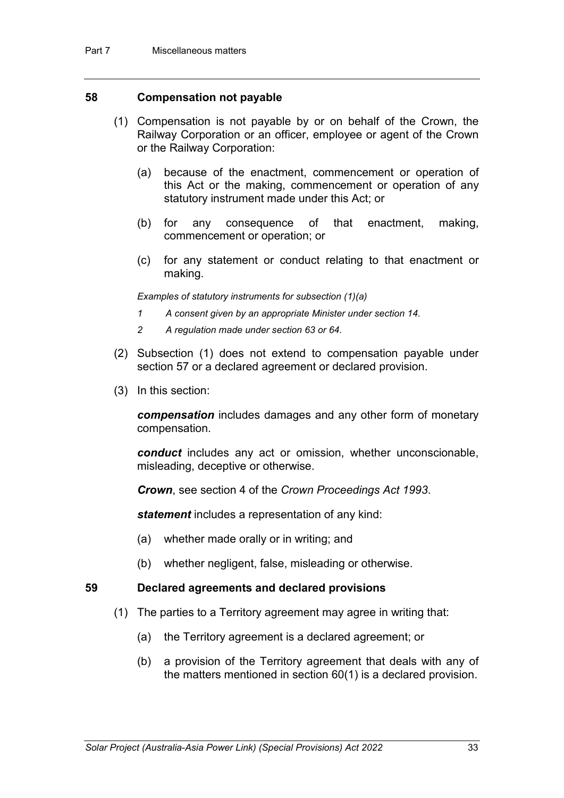#### **58 Compensation not payable**

- (1) Compensation is not payable by or on behalf of the Crown, the Railway Corporation or an officer, employee or agent of the Crown or the Railway Corporation:
	- (a) because of the enactment, commencement or operation of this Act or the making, commencement or operation of any statutory instrument made under this Act; or
	- (b) for any consequence of that enactment, making, commencement or operation; or
	- (c) for any statement or conduct relating to that enactment or making.

*Examples of statutory instruments for subsection (1)(a)*

- *1 A consent given by an appropriate Minister under section 14.*
- *2 A regulation made under section 63 or 64.*
- (2) Subsection (1) does not extend to compensation payable under section 57 or a declared agreement or declared provision.
- (3) In this section:

*compensation* includes damages and any other form of monetary compensation.

*conduct* includes any act or omission, whether unconscionable, misleading, deceptive or otherwise.

*Crown*, see section 4 of the *Crown Proceedings Act 1993*.

*statement* includes a representation of any kind:

- (a) whether made orally or in writing; and
- (b) whether negligent, false, misleading or otherwise.

#### **59 Declared agreements and declared provisions**

- (1) The parties to a Territory agreement may agree in writing that:
	- (a) the Territory agreement is a declared agreement; or
	- (b) a provision of the Territory agreement that deals with any of the matters mentioned in section 60(1) is a declared provision.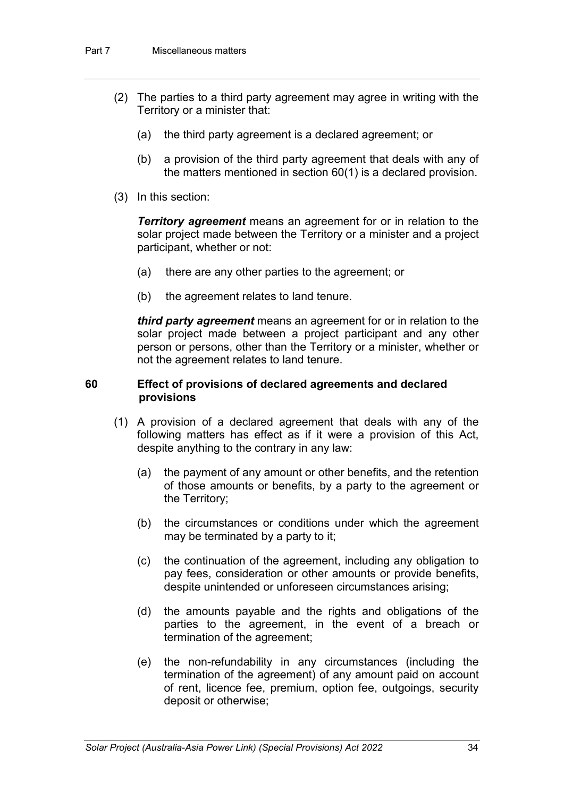- (2) The parties to a third party agreement may agree in writing with the Territory or a minister that:
	- (a) the third party agreement is a declared agreement; or
	- (b) a provision of the third party agreement that deals with any of the matters mentioned in section 60(1) is a declared provision.
- (3) In this section:

*Territory agreement* means an agreement for or in relation to the solar project made between the Territory or a minister and a project participant, whether or not:

- (a) there are any other parties to the agreement; or
- (b) the agreement relates to land tenure.

*third party agreement* means an agreement for or in relation to the solar project made between a project participant and any other person or persons, other than the Territory or a minister, whether or not the agreement relates to land tenure.

#### **60 Effect of provisions of declared agreements and declared provisions**

- (1) A provision of a declared agreement that deals with any of the following matters has effect as if it were a provision of this Act, despite anything to the contrary in any law:
	- (a) the payment of any amount or other benefits, and the retention of those amounts or benefits, by a party to the agreement or the Territory;
	- (b) the circumstances or conditions under which the agreement may be terminated by a party to it;
	- (c) the continuation of the agreement, including any obligation to pay fees, consideration or other amounts or provide benefits, despite unintended or unforeseen circumstances arising;
	- (d) the amounts payable and the rights and obligations of the parties to the agreement, in the event of a breach or termination of the agreement;
	- (e) the non-refundability in any circumstances (including the termination of the agreement) of any amount paid on account of rent, licence fee, premium, option fee, outgoings, security deposit or otherwise;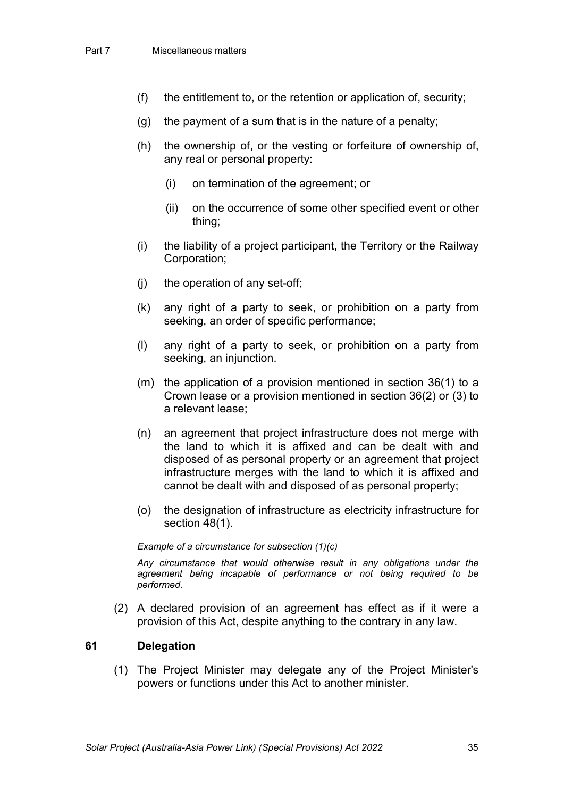- (f) the entitlement to, or the retention or application of, security;
- $(q)$  the payment of a sum that is in the nature of a penalty;
- (h) the ownership of, or the vesting or forfeiture of ownership of, any real or personal property:
	- (i) on termination of the agreement; or
	- (ii) on the occurrence of some other specified event or other thing;
- (i) the liability of a project participant, the Territory or the Railway Corporation;
- (j) the operation of any set-off;
- (k) any right of a party to seek, or prohibition on a party from seeking, an order of specific performance;
- (l) any right of a party to seek, or prohibition on a party from seeking, an injunction.
- (m) the application of a provision mentioned in section 36(1) to a Crown lease or a provision mentioned in section 36(2) or (3) to a relevant lease;
- (n) an agreement that project infrastructure does not merge with the land to which it is affixed and can be dealt with and disposed of as personal property or an agreement that project infrastructure merges with the land to which it is affixed and cannot be dealt with and disposed of as personal property;
- (o) the designation of infrastructure as electricity infrastructure for section 48(1).

#### *Example of a circumstance for subsection (1)(c)*

*Any circumstance that would otherwise result in any obligations under the agreement being incapable of performance or not being required to be performed.*

(2) A declared provision of an agreement has effect as if it were a provision of this Act, despite anything to the contrary in any law.

#### **61 Delegation**

(1) The Project Minister may delegate any of the Project Minister's powers or functions under this Act to another minister.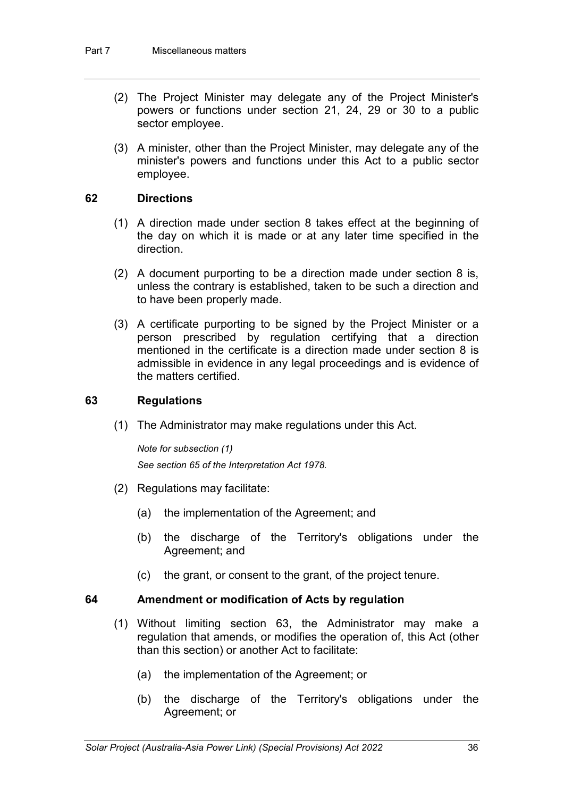- (2) The Project Minister may delegate any of the Project Minister's powers or functions under section 21, 24, 29 or 30 to a public sector employee.
- (3) A minister, other than the Project Minister, may delegate any of the minister's powers and functions under this Act to a public sector employee.

## **62 Directions**

- (1) A direction made under section 8 takes effect at the beginning of the day on which it is made or at any later time specified in the direction.
- (2) A document purporting to be a direction made under section 8 is, unless the contrary is established, taken to be such a direction and to have been properly made.
- (3) A certificate purporting to be signed by the Project Minister or a person prescribed by regulation certifying that a direction mentioned in the certificate is a direction made under section 8 is admissible in evidence in any legal proceedings and is evidence of the matters certified.

## **63 Regulations**

(1) The Administrator may make regulations under this Act.

*Note for subsection (1) See section 65 of the Interpretation Act 1978.*

- (2) Regulations may facilitate:
	- (a) the implementation of the Agreement; and
	- (b) the discharge of the Territory's obligations under the Agreement; and
	- (c) the grant, or consent to the grant, of the project tenure.

#### **64 Amendment or modification of Acts by regulation**

- (1) Without limiting section 63, the Administrator may make a regulation that amends, or modifies the operation of, this Act (other than this section) or another Act to facilitate:
	- (a) the implementation of the Agreement; or
	- (b) the discharge of the Territory's obligations under the Agreement; or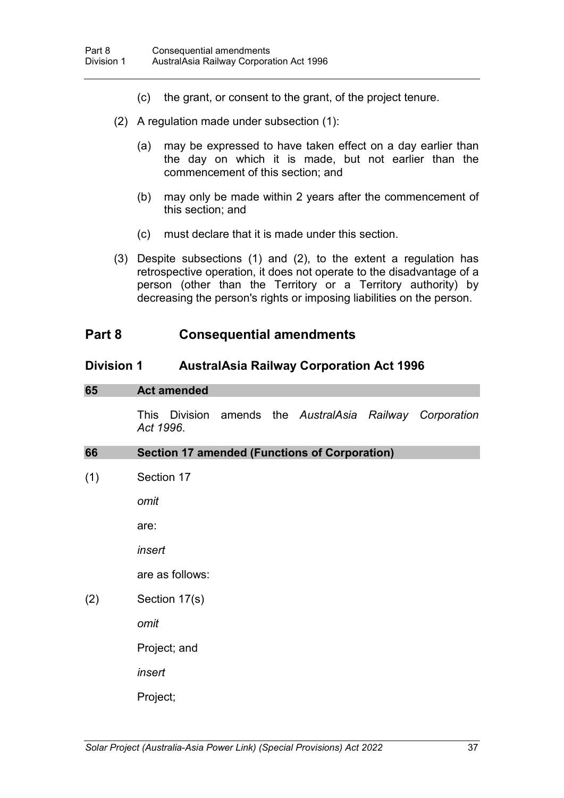- (c) the grant, or consent to the grant, of the project tenure.
- (2) A regulation made under subsection (1):
	- (a) may be expressed to have taken effect on a day earlier than the day on which it is made, but not earlier than the commencement of this section; and
	- (b) may only be made within 2 years after the commencement of this section; and
	- (c) must declare that it is made under this section.
- (3) Despite subsections (1) and (2), to the extent a regulation has retrospective operation, it does not operate to the disadvantage of a person (other than the Territory or a Territory authority) by decreasing the person's rights or imposing liabilities on the person.

# **Part 8 Consequential amendments**

## **Division 1 AustralAsia Railway Corporation Act 1996**

#### **65 Act amended**

This Division amends the *AustralAsia Railway Corporation Act 1996*.

| 66  | <b>Section 17 amended (Functions of Corporation)</b> |
|-----|------------------------------------------------------|
| (1) | Section 17                                           |
|     | omit                                                 |
|     | are:                                                 |
|     | insert                                               |
|     | are as follows:                                      |
| (2) | Section 17(s)                                        |
|     | omit                                                 |
|     | Project; and                                         |
|     | insert                                               |
|     | Project;                                             |
|     |                                                      |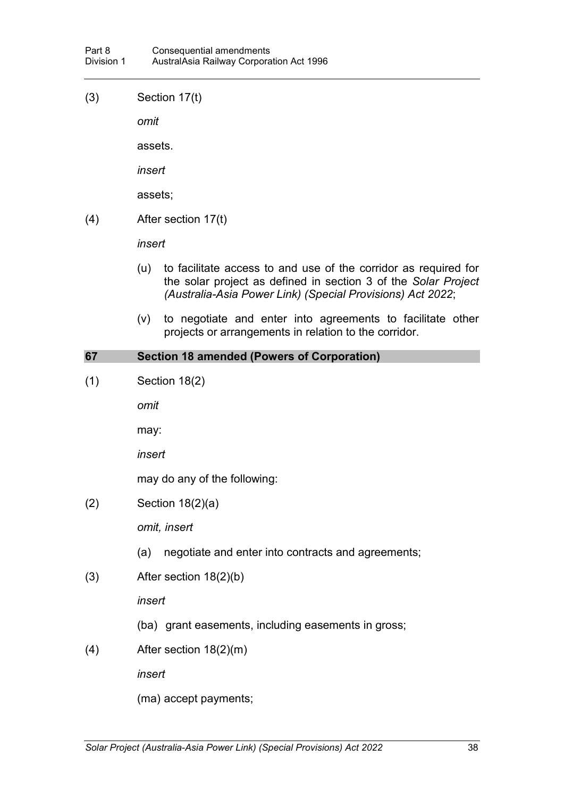(3) Section 17(t)

*omit*

assets.

*insert*

assets;

(4) After section 17(t)

*insert*

- (u) to facilitate access to and use of the corridor as required for the solar project as defined in section 3 of the *Solar Project (Australia-Asia Power Link) (Special Provisions) Act 2022*;
- (v) to negotiate and enter into agreements to facilitate other projects or arrangements in relation to the corridor.

## **67 Section 18 amended (Powers of Corporation)**

(1) Section 18(2)

*omit*

may:

*insert*

may do any of the following:

(2) Section 18(2)(a)

*omit, insert*

- (a) negotiate and enter into contracts and agreements;
- (3) After section 18(2)(b)

*insert*

- (ba) grant easements, including easements in gross;
- (4) After section 18(2)(m)

*insert*

(ma) accept payments;